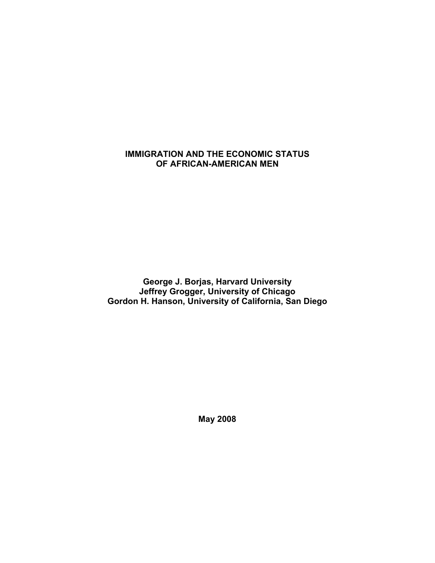# **IMMIGRATION AND THE ECONOMIC STATUS OF AFRICAN-AMERICAN MEN**

**George J. Borjas, Harvard University Jeffrey Grogger, University of Chicago Gordon H. Hanson, University of California, San Diego** 

**May 2008**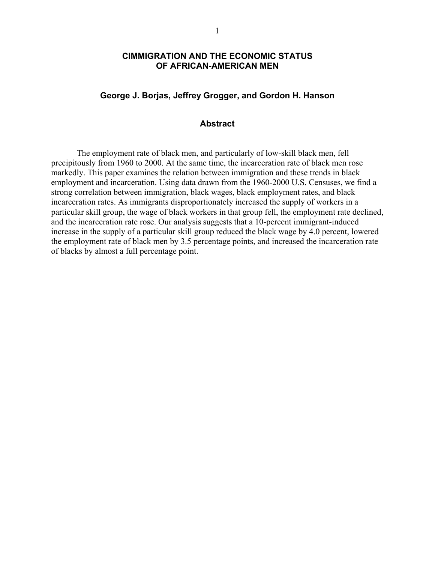## **CIMMIGRATION AND THE ECONOMIC STATUS OF AFRICAN-AMERICAN MEN**

## **George J. Borjas, Jeffrey Grogger, and Gordon H. Hanson**

### **Abstract**

The employment rate of black men, and particularly of low-skill black men, fell precipitously from 1960 to 2000. At the same time, the incarceration rate of black men rose markedly. This paper examines the relation between immigration and these trends in black employment and incarceration. Using data drawn from the 1960-2000 U.S. Censuses, we find a strong correlation between immigration, black wages, black employment rates, and black incarceration rates. As immigrants disproportionately increased the supply of workers in a particular skill group, the wage of black workers in that group fell, the employment rate declined, and the incarceration rate rose. Our analysis suggests that a 10-percent immigrant-induced increase in the supply of a particular skill group reduced the black wage by 4.0 percent, lowered the employment rate of black men by 3.5 percentage points, and increased the incarceration rate of blacks by almost a full percentage point.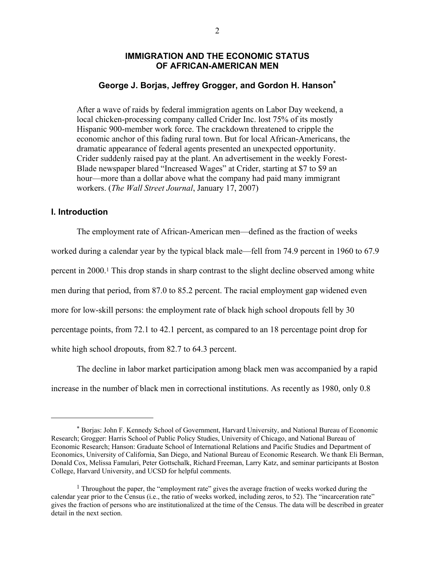## **IMMIGRATION AND THE ECONOMIC STATUS OF AFRICAN-AMERICAN MEN**

## **George J. Borjas, Jeffrey Grogger, and Gordon H. Hanson\***

After a wave of raids by federal immigration agents on Labor Day weekend, a local chicken-processing company called Crider Inc. lost 75% of its mostly Hispanic 900-member work force. The crackdown threatened to cripple the economic anchor of this fading rural town. But for local African-Americans, the dramatic appearance of federal agents presented an unexpected opportunity. Crider suddenly raised pay at the plant. An advertisement in the weekly Forest-Blade newspaper blared "Increased Wages" at Crider, starting at \$7 to \$9 an hour—more than a dollar above what the company had paid many immigrant workers. (*The Wall Street Journal*, January 17, 2007)

### **I. Introduction**

 $\overline{a}$ 

The employment rate of African-American men—defined as the fraction of weeks worked during a calendar year by the typical black male—fell from 74.9 percent in 1960 to 67.9 percent in 2000.1 This drop stands in sharp contrast to the slight decline observed among white men during that period, from 87.0 to 85.2 percent. The racial employment gap widened even more for low-skill persons: the employment rate of black high school dropouts fell by 30 percentage points, from 72.1 to 42.1 percent, as compared to an 18 percentage point drop for white high school dropouts, from 82.7 to 64.3 percent.

 The decline in labor market participation among black men was accompanied by a rapid increase in the number of black men in correctional institutions. As recently as 1980, only 0.8

<sup>\*</sup> Borjas: John F. Kennedy School of Government, Harvard University, and National Bureau of Economic Research; Grogger: Harris School of Public Policy Studies, University of Chicago, and National Bureau of Economic Research; Hanson: Graduate School of International Relations and Pacific Studies and Department of Economics, University of California, San Diego, and National Bureau of Economic Research. We thank Eli Berman, Donald Cox, Melissa Famulari, Peter Gottschalk, Richard Freeman, Larry Katz, and seminar participants at Boston College, Harvard University, and UCSD for helpful comments.

<sup>&</sup>lt;sup>1</sup> Throughout the paper, the "employment rate" gives the average fraction of weeks worked during the calendar year prior to the Census (i.e., the ratio of weeks worked, including zeros, to 52). The "incarceration rate" gives the fraction of persons who are institutionalized at the time of the Census. The data will be described in greater detail in the next section.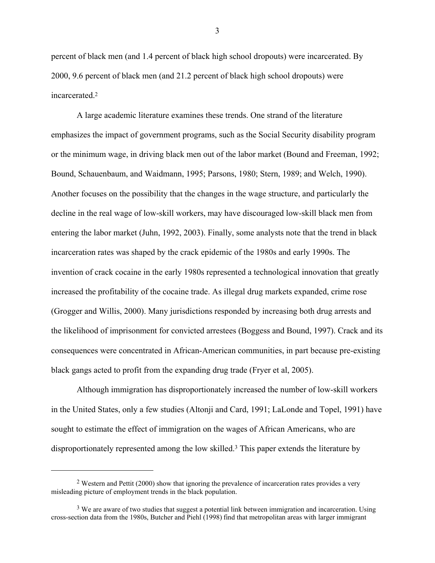percent of black men (and 1.4 percent of black high school dropouts) were incarcerated. By 2000, 9.6 percent of black men (and 21.2 percent of black high school dropouts) were incarcerated.2

 A large academic literature examines these trends. One strand of the literature emphasizes the impact of government programs, such as the Social Security disability program or the minimum wage, in driving black men out of the labor market (Bound and Freeman, 1992; Bound, Schauenbaum, and Waidmann, 1995; Parsons, 1980; Stern, 1989; and Welch, 1990). Another focuses on the possibility that the changes in the wage structure, and particularly the decline in the real wage of low-skill workers, may have discouraged low-skill black men from entering the labor market (Juhn, 1992, 2003). Finally, some analysts note that the trend in black incarceration rates was shaped by the crack epidemic of the 1980s and early 1990s. The invention of crack cocaine in the early 1980s represented a technological innovation that greatly increased the profitability of the cocaine trade. As illegal drug markets expanded, crime rose (Grogger and Willis, 2000). Many jurisdictions responded by increasing both drug arrests and the likelihood of imprisonment for convicted arrestees (Boggess and Bound, 1997). Crack and its consequences were concentrated in African-American communities, in part because pre-existing black gangs acted to profit from the expanding drug trade (Fryer et al, 2005).

 Although immigration has disproportionately increased the number of low-skill workers in the United States, only a few studies (Altonji and Card, 1991; LaLonde and Topel, 1991) have sought to estimate the effect of immigration on the wages of African Americans, who are disproportionately represented among the low skilled.3 This paper extends the literature by

<u>.</u>

<sup>2</sup> Western and Pettit (2000) show that ignoring the prevalence of incarceration rates provides a very misleading picture of employment trends in the black population.

<sup>&</sup>lt;sup>3</sup> We are aware of two studies that suggest a potential link between immigration and incarceration. Using cross-section data from the 1980s, Butcher and Piehl (1998) find that metropolitan areas with larger immigrant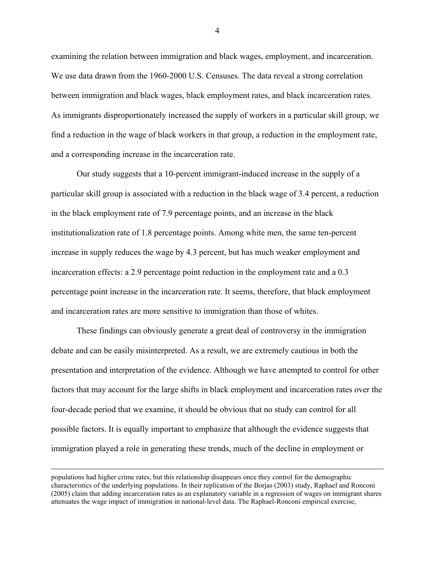examining the relation between immigration and black wages, employment, and incarceration. We use data drawn from the 1960-2000 U.S. Censuses. The data reveal a strong correlation between immigration and black wages, black employment rates, and black incarceration rates. As immigrants disproportionately increased the supply of workers in a particular skill group, we find a reduction in the wage of black workers in that group, a reduction in the employment rate, and a corresponding increase in the incarceration rate.

Our study suggests that a 10-percent immigrant-induced increase in the supply of a particular skill group is associated with a reduction in the black wage of 3.4 percent, a reduction in the black employment rate of 7.9 percentage points, and an increase in the black institutionalization rate of 1.8 percentage points. Among white men, the same ten-percent increase in supply reduces the wage by 4.3 percent, but has much weaker employment and incarceration effects: a 2.9 percentage point reduction in the employment rate and a 0.3 percentage point increase in the incarceration rate. It seems, therefore, that black employment and incarceration rates are more sensitive to immigration than those of whites.

These findings can obviously generate a great deal of controversy in the immigration debate and can be easily misinterpreted. As a result, we are extremely cautious in both the presentation and interpretation of the evidence. Although we have attempted to control for other factors that may account for the large shifts in black employment and incarceration rates over the four-decade period that we examine, it should be obvious that no study can control for all possible factors. It is equally important to emphasize that although the evidence suggests that immigration played a role in generating these trends, much of the decline in employment or

populations had higher crime rates, but this relationship disappears once they control for the demographic characteristics of the underlying populations. In their replication of the Borjas (2003) study, Raphael and Ronconi (2005) claim that adding incarceration rates as an explanatory variable in a regression of wages on immigrant shares attenuates the wage impact of immigration in national-level data. The Raphael-Ronconi empirical exercise,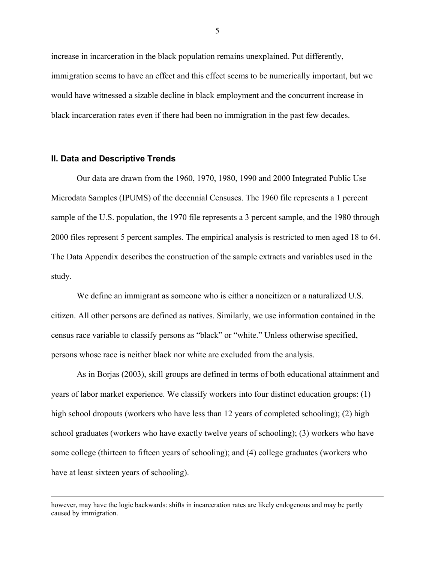increase in incarceration in the black population remains unexplained. Put differently, immigration seems to have an effect and this effect seems to be numerically important, but we would have witnessed a sizable decline in black employment and the concurrent increase in black incarceration rates even if there had been no immigration in the past few decades.

#### **II. Data and Descriptive Trends**

Our data are drawn from the 1960, 1970, 1980, 1990 and 2000 Integrated Public Use Microdata Samples (IPUMS) of the decennial Censuses. The 1960 file represents a 1 percent sample of the U.S. population, the 1970 file represents a 3 percent sample, and the 1980 through 2000 files represent 5 percent samples. The empirical analysis is restricted to men aged 18 to 64. The Data Appendix describes the construction of the sample extracts and variables used in the study.

We define an immigrant as someone who is either a noncitizen or a naturalized U.S. citizen. All other persons are defined as natives. Similarly, we use information contained in the census race variable to classify persons as "black" or "white." Unless otherwise specified, persons whose race is neither black nor white are excluded from the analysis.

As in Borjas (2003), skill groups are defined in terms of both educational attainment and years of labor market experience. We classify workers into four distinct education groups: (1) high school dropouts (workers who have less than 12 years of completed schooling); (2) high school graduates (workers who have exactly twelve years of schooling); (3) workers who have some college (thirteen to fifteen years of schooling); and (4) college graduates (workers who have at least sixteen years of schooling).

however, may have the logic backwards: shifts in incarceration rates are likely endogenous and may be partly caused by immigration.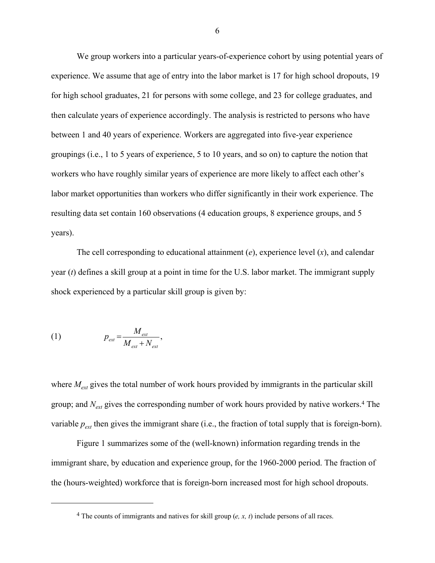We group workers into a particular years-of-experience cohort by using potential years of experience. We assume that age of entry into the labor market is 17 for high school dropouts, 19 for high school graduates, 21 for persons with some college, and 23 for college graduates, and then calculate years of experience accordingly. The analysis is restricted to persons who have between 1 and 40 years of experience. Workers are aggregated into five-year experience groupings (i.e., 1 to 5 years of experience, 5 to 10 years, and so on) to capture the notion that workers who have roughly similar years of experience are more likely to affect each other's labor market opportunities than workers who differ significantly in their work experience. The resulting data set contain 160 observations (4 education groups, 8 experience groups, and 5 years).

The cell corresponding to educational attainment (*e*), experience level (*x*), and calendar year (*t*) defines a skill group at a point in time for the U.S. labor market. The immigrant supply shock experienced by a particular skill group is given by:

$$
(1) \t\t p_{ext} = \frac{M_{ext}}{M_{ext} + N_{ext}},
$$

 $\overline{a}$ 

where  $M_{ext}$  gives the total number of work hours provided by immigrants in the particular skill group; and *Next* gives the corresponding number of work hours provided by native workers.4 The variable  $p_{ext}$  then gives the immigrant share (i.e., the fraction of total supply that is foreign-born).

Figure 1 summarizes some of the (well-known) information regarding trends in the immigrant share, by education and experience group, for the 1960-2000 period. The fraction of the (hours-weighted) workforce that is foreign-born increased most for high school dropouts.

<sup>4</sup> The counts of immigrants and natives for skill group (*e, x, t*) include persons of all races.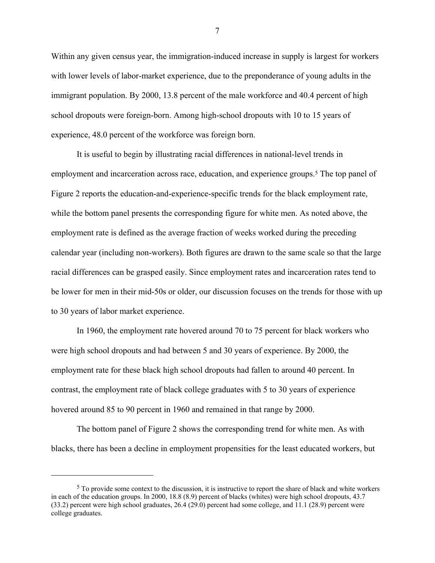Within any given census year, the immigration-induced increase in supply is largest for workers with lower levels of labor-market experience, due to the preponderance of young adults in the immigrant population. By 2000, 13.8 percent of the male workforce and 40.4 percent of high school dropouts were foreign-born. Among high-school dropouts with 10 to 15 years of experience, 48.0 percent of the workforce was foreign born.

It is useful to begin by illustrating racial differences in national-level trends in employment and incarceration across race, education, and experience groups.<sup>5</sup> The top panel of Figure 2 reports the education-and-experience-specific trends for the black employment rate, while the bottom panel presents the corresponding figure for white men. As noted above, the employment rate is defined as the average fraction of weeks worked during the preceding calendar year (including non-workers). Both figures are drawn to the same scale so that the large racial differences can be grasped easily. Since employment rates and incarceration rates tend to be lower for men in their mid-50s or older, our discussion focuses on the trends for those with up to 30 years of labor market experience.

In 1960, the employment rate hovered around 70 to 75 percent for black workers who were high school dropouts and had between 5 and 30 years of experience. By 2000, the employment rate for these black high school dropouts had fallen to around 40 percent. In contrast, the employment rate of black college graduates with 5 to 30 years of experience hovered around 85 to 90 percent in 1960 and remained in that range by 2000.

The bottom panel of Figure 2 shows the corresponding trend for white men. As with blacks, there has been a decline in employment propensities for the least educated workers, but

 $\overline{a}$ 

<sup>5</sup> To provide some context to the discussion, it is instructive to report the share of black and white workers in each of the education groups. In 2000, 18.8 (8.9) percent of blacks (whites) were high school dropouts, 43.7 (33.2) percent were high school graduates, 26.4 (29.0) percent had some college, and 11.1 (28.9) percent were college graduates.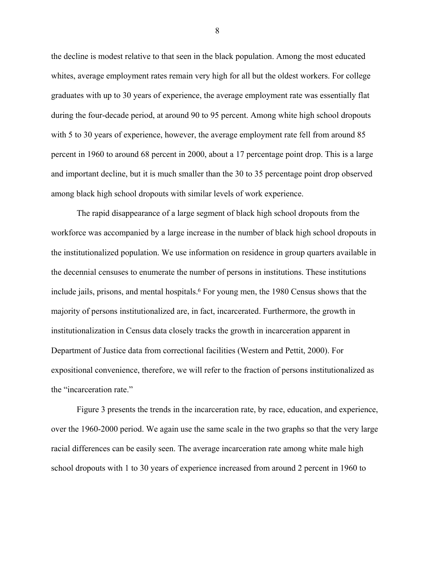the decline is modest relative to that seen in the black population. Among the most educated whites, average employment rates remain very high for all but the oldest workers. For college graduates with up to 30 years of experience, the average employment rate was essentially flat during the four-decade period, at around 90 to 95 percent. Among white high school dropouts with 5 to 30 years of experience, however, the average employment rate fell from around 85 percent in 1960 to around 68 percent in 2000, about a 17 percentage point drop. This is a large and important decline, but it is much smaller than the 30 to 35 percentage point drop observed among black high school dropouts with similar levels of work experience.

The rapid disappearance of a large segment of black high school dropouts from the workforce was accompanied by a large increase in the number of black high school dropouts in the institutionalized population. We use information on residence in group quarters available in the decennial censuses to enumerate the number of persons in institutions. These institutions include jails, prisons, and mental hospitals.<sup>6</sup> For young men, the 1980 Census shows that the majority of persons institutionalized are, in fact, incarcerated. Furthermore, the growth in institutionalization in Census data closely tracks the growth in incarceration apparent in Department of Justice data from correctional facilities (Western and Pettit, 2000). For expositional convenience, therefore, we will refer to the fraction of persons institutionalized as the "incarceration rate."

Figure 3 presents the trends in the incarceration rate, by race, education, and experience, over the 1960-2000 period. We again use the same scale in the two graphs so that the very large racial differences can be easily seen. The average incarceration rate among white male high school dropouts with 1 to 30 years of experience increased from around 2 percent in 1960 to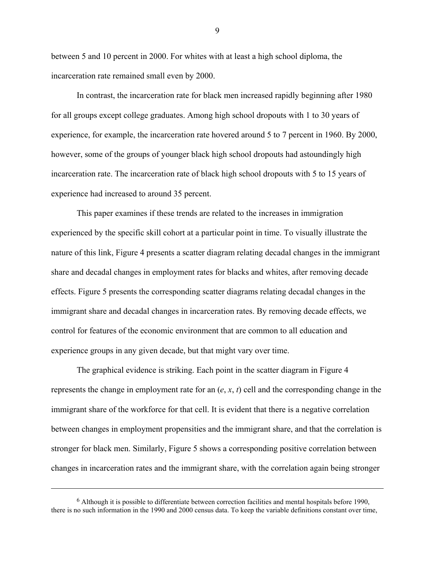between 5 and 10 percent in 2000. For whites with at least a high school diploma, the incarceration rate remained small even by 2000.

In contrast, the incarceration rate for black men increased rapidly beginning after 1980 for all groups except college graduates. Among high school dropouts with 1 to 30 years of experience, for example, the incarceration rate hovered around 5 to 7 percent in 1960. By 2000, however, some of the groups of younger black high school dropouts had astoundingly high incarceration rate. The incarceration rate of black high school dropouts with 5 to 15 years of experience had increased to around 35 percent.

This paper examines if these trends are related to the increases in immigration experienced by the specific skill cohort at a particular point in time. To visually illustrate the nature of this link, Figure 4 presents a scatter diagram relating decadal changes in the immigrant share and decadal changes in employment rates for blacks and whites, after removing decade effects. Figure 5 presents the corresponding scatter diagrams relating decadal changes in the immigrant share and decadal changes in incarceration rates. By removing decade effects, we control for features of the economic environment that are common to all education and experience groups in any given decade, but that might vary over time.

The graphical evidence is striking. Each point in the scatter diagram in Figure 4 represents the change in employment rate for an (*e*, *x*, *t*) cell and the corresponding change in the immigrant share of the workforce for that cell. It is evident that there is a negative correlation between changes in employment propensities and the immigrant share, and that the correlation is stronger for black men. Similarly, Figure 5 shows a corresponding positive correlation between changes in incarceration rates and the immigrant share, with the correlation again being stronger

 $\overline{a}$ 

<sup>6</sup> Although it is possible to differentiate between correction facilities and mental hospitals before 1990, there is no such information in the 1990 and 2000 census data. To keep the variable definitions constant over time,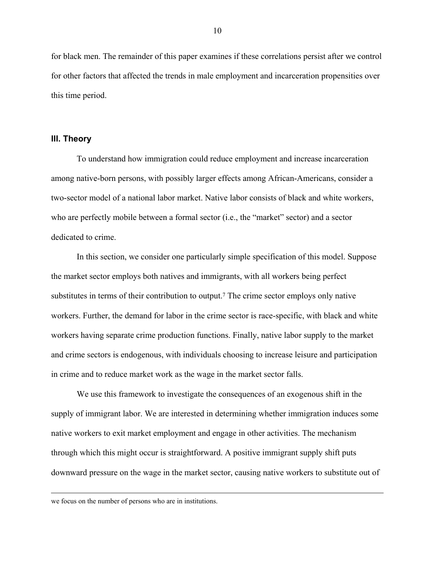for black men. The remainder of this paper examines if these correlations persist after we control for other factors that affected the trends in male employment and incarceration propensities over this time period.

#### **III. Theory**

 To understand how immigration could reduce employment and increase incarceration among native-born persons, with possibly larger effects among African-Americans, consider a two-sector model of a national labor market. Native labor consists of black and white workers, who are perfectly mobile between a formal sector (i.e., the "market" sector) and a sector dedicated to crime.

In this section, we consider one particularly simple specification of this model. Suppose the market sector employs both natives and immigrants, with all workers being perfect substitutes in terms of their contribution to output.7 The crime sector employs only native workers. Further, the demand for labor in the crime sector is race-specific, with black and white workers having separate crime production functions. Finally, native labor supply to the market and crime sectors is endogenous, with individuals choosing to increase leisure and participation in crime and to reduce market work as the wage in the market sector falls.

We use this framework to investigate the consequences of an exogenous shift in the supply of immigrant labor. We are interested in determining whether immigration induces some native workers to exit market employment and engage in other activities. The mechanism through which this might occur is straightforward. A positive immigrant supply shift puts downward pressure on the wage in the market sector, causing native workers to substitute out of

we focus on the number of persons who are in institutions.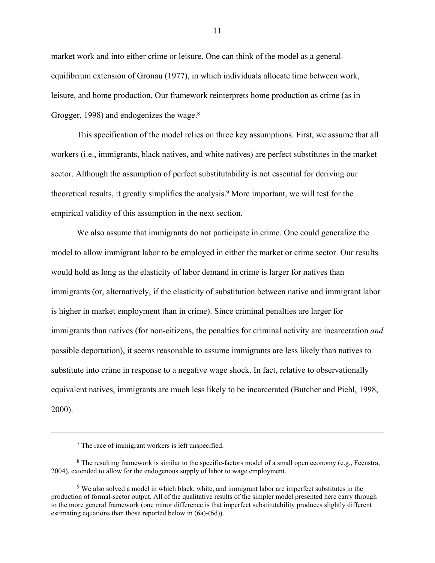market work and into either crime or leisure. One can think of the model as a generalequilibrium extension of Gronau (1977), in which individuals allocate time between work, leisure, and home production. Our framework reinterprets home production as crime (as in Grogger, 1998) and endogenizes the wage.<sup>8</sup>

This specification of the model relies on three key assumptions. First, we assume that all workers (i.e., immigrants, black natives, and white natives) are perfect substitutes in the market sector. Although the assumption of perfect substitutability is not essential for deriving our theoretical results, it greatly simplifies the analysis.9 More important, we will test for the empirical validity of this assumption in the next section.

 We also assume that immigrants do not participate in crime. One could generalize the model to allow immigrant labor to be employed in either the market or crime sector. Our results would hold as long as the elasticity of labor demand in crime is larger for natives than immigrants (or, alternatively, if the elasticity of substitution between native and immigrant labor is higher in market employment than in crime). Since criminal penalties are larger for immigrants than natives (for non-citizens, the penalties for criminal activity are incarceration *and* possible deportation), it seems reasonable to assume immigrants are less likely than natives to substitute into crime in response to a negative wage shock. In fact, relative to observationally equivalent natives, immigrants are much less likely to be incarcerated (Butcher and Piehl, 1998, 2000).

<u>.</u>

<sup>7</sup> The race of immigrant workers is left unspecified.

<sup>8</sup> The resulting framework is similar to the specific-factors model of a small open economy (e.g., Feenstra, 2004), extended to allow for the endogenous supply of labor to wage employment.

<sup>&</sup>lt;sup>9</sup> We also solved a model in which black, white, and immigrant labor are imperfect substitutes in the production of formal-sector output. All of the qualitative results of the simpler model presented here carry through to the more general framework (one minor difference is that imperfect substitutability produces slightly different estimating equations than those reported below in (6a)-(6d)).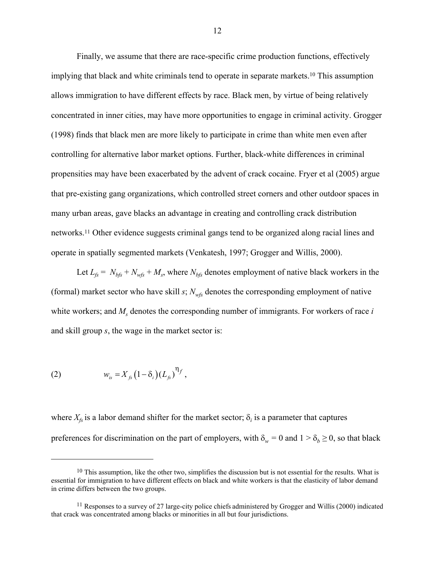Finally, we assume that there are race-specific crime production functions, effectively implying that black and white criminals tend to operate in separate markets.<sup>10</sup> This assumption allows immigration to have different effects by race. Black men, by virtue of being relatively concentrated in inner cities, may have more opportunities to engage in criminal activity. Grogger (1998) finds that black men are more likely to participate in crime than white men even after controlling for alternative labor market options. Further, black-white differences in criminal propensities may have been exacerbated by the advent of crack cocaine. Fryer et al (2005) argue that pre-existing gang organizations, which controlled street corners and other outdoor spaces in many urban areas, gave blacks an advantage in creating and controlling crack distribution networks.11 Other evidence suggests criminal gangs tend to be organized along racial lines and operate in spatially segmented markets (Venkatesh, 1997; Grogger and Willis, 2000).

Let  $L_f = N_{bfs} + N_{wfs} + M_s$ , where  $N_{bfs}$  denotes employment of native black workers in the (formal) market sector who have skill  $s$ ;  $N_{wfs}$  denotes the corresponding employment of native white workers; and  $M_s$  denotes the corresponding number of immigrants. For workers of race *i* and skill group *s*, the wage in the market sector is:

(2) 
$$
w_{is} = X_{fs} (1 - \delta_i) (L_{fs})^{\eta_f},
$$

 $\overline{a}$ 

where  $X_{fs}$  is a labor demand shifter for the market sector;  $\delta_i$  is a parameter that captures preferences for discrimination on the part of employers, with  $\delta_w = 0$  and  $1 > \delta_b \ge 0$ , so that black

 $10$  This assumption, like the other two, simplifies the discussion but is not essential for the results. What is essential for immigration to have different effects on black and white workers is that the elasticity of labor demand in crime differs between the two groups.

<sup>11</sup> Responses to a survey of 27 large-city police chiefs administered by Grogger and Willis (2000) indicated that crack was concentrated among blacks or minorities in all but four jurisdictions.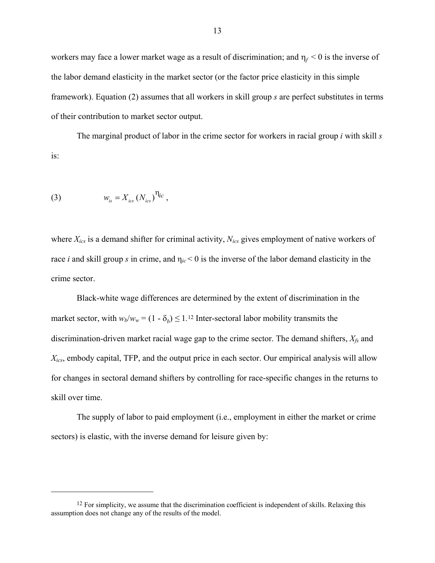workers may face a lower market wage as a result of discrimination; and  $\eta_f < 0$  is the inverse of the labor demand elasticity in the market sector (or the factor price elasticity in this simple framework). Equation (2) assumes that all workers in skill group *s* are perfect substitutes in terms of their contribution to market sector output.

The marginal product of labor in the crime sector for workers in racial group *i* with skill *s* is:

(3) 
$$
w_{is} = X_{ics} (N_{ics})^{\eta_{ic}},
$$

 $\overline{a}$ 

where *Xics* is a demand shifter for criminal activity, *Nics* gives employment of native workers of race *i* and skill group *s* in crime, and  $\eta_{ic}$  < 0 is the inverse of the labor demand elasticity in the crime sector.

Black-white wage differences are determined by the extent of discrimination in the market sector, with  $w_b/w_w = (1 - \delta_b) \le 1$ .<sup>12</sup> Inter-sectoral labor mobility transmits the discrimination-driven market racial wage gap to the crime sector. The demand shifters, *Xfs* and *Xics*, embody capital, TFP, and the output price in each sector. Our empirical analysis will allow for changes in sectoral demand shifters by controlling for race-specific changes in the returns to skill over time.

 The supply of labor to paid employment (i.e., employment in either the market or crime sectors) is elastic, with the inverse demand for leisure given by:

<sup>&</sup>lt;sup>12</sup> For simplicity, we assume that the discrimination coefficient is independent of skills. Relaxing this assumption does not change any of the results of the model.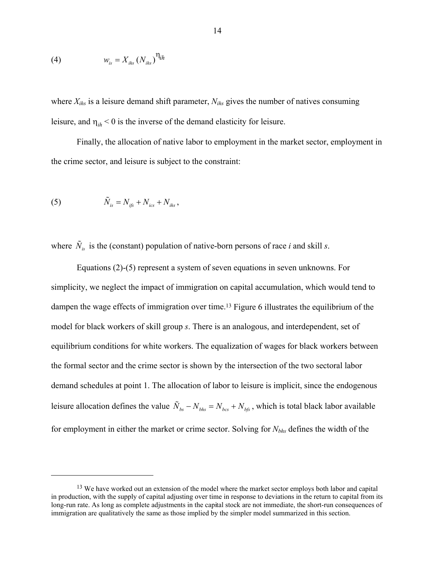$$
(4) \t\t w_{is} = X_{i\text{hs}} \left( N_{i\text{hs}} \right)^{\eta_{ih}}
$$

where  $X_{ihs}$  is a leisure demand shift parameter,  $N_{ihs}$  gives the number of natives consuming leisure, and  $\eta_{ih}$  < 0 is the inverse of the demand elasticity for leisure.

Finally, the allocation of native labor to employment in the market sector, employment in the crime sector, and leisure is subject to the constraint:

(5) 
$$
\tilde{N}_{is} = N_{ifs} + N_{ics} + N_{ihs},
$$

 $\overline{a}$ 

where  $\tilde{N}_{is}$  is the (constant) population of native-born persons of race *i* and skill *s*.

Equations (2)-(5) represent a system of seven equations in seven unknowns. For simplicity, we neglect the impact of immigration on capital accumulation, which would tend to dampen the wage effects of immigration over time.13 Figure 6 illustrates the equilibrium of the model for black workers of skill group *s*. There is an analogous, and interdependent, set of equilibrium conditions for white workers. The equalization of wages for black workers between the formal sector and the crime sector is shown by the intersection of the two sectoral labor demand schedules at point 1. The allocation of labor to leisure is implicit, since the endogenous leisure allocation defines the value  $\tilde{N}_{bs} - N_{bhs} = N_{bcs} + N_{bfs}$ , which is total black labor available for employment in either the market or crime sector. Solving for *Nbhs* defines the width of the

<sup>&</sup>lt;sup>13</sup> We have worked out an extension of the model where the market sector employs both labor and capital in production, with the supply of capital adjusting over time in response to deviations in the return to capital from its long-run rate. As long as complete adjustments in the capital stock are not immediate, the short-run consequences of immigration are qualitatively the same as those implied by the simpler model summarized in this section.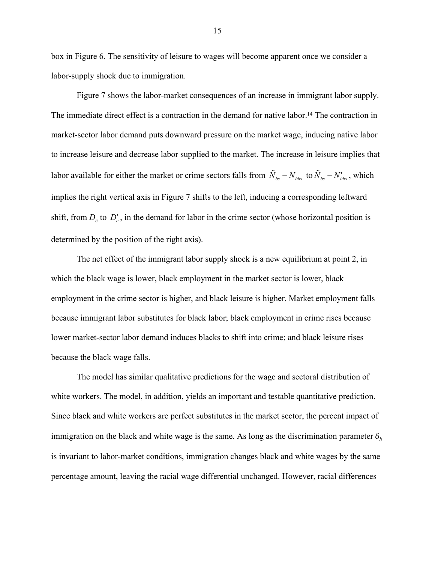box in Figure 6. The sensitivity of leisure to wages will become apparent once we consider a labor-supply shock due to immigration.

 Figure 7 shows the labor-market consequences of an increase in immigrant labor supply. The immediate direct effect is a contraction in the demand for native labor.14 The contraction in market-sector labor demand puts downward pressure on the market wage, inducing native labor to increase leisure and decrease labor supplied to the market. The increase in leisure implies that labor available for either the market or crime sectors falls from  $\tilde{N}_{bs} - N_{bhs}$  to  $\tilde{N}_{bs} - N'_{bhs}$ , which implies the right vertical axis in Figure 7 shifts to the left, inducing a corresponding leftward shift, from  $D_c$  to  $D'_c$ , in the demand for labor in the crime sector (whose horizontal position is determined by the position of the right axis).

 The net effect of the immigrant labor supply shock is a new equilibrium at point 2, in which the black wage is lower, black employment in the market sector is lower, black employment in the crime sector is higher, and black leisure is higher. Market employment falls because immigrant labor substitutes for black labor; black employment in crime rises because lower market-sector labor demand induces blacks to shift into crime; and black leisure rises because the black wage falls.

The model has similar qualitative predictions for the wage and sectoral distribution of white workers. The model, in addition, yields an important and testable quantitative prediction. Since black and white workers are perfect substitutes in the market sector, the percent impact of immigration on the black and white wage is the same. As long as the discrimination parameter  $\delta_b$ is invariant to labor-market conditions, immigration changes black and white wages by the same percentage amount, leaving the racial wage differential unchanged. However, racial differences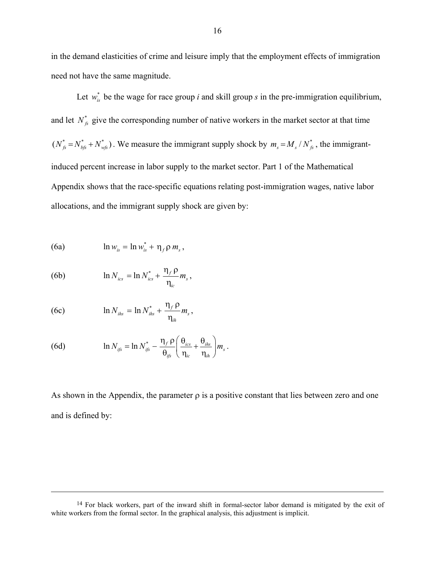in the demand elasticities of crime and leisure imply that the employment effects of immigration need not have the same magnitude.

Let  $w_{ik}^*$  be the wage for race group *i* and skill group *s* in the pre-immigration equilibrium, and let  $N^*_{fs}$  give the corresponding number of native workers in the market sector at that time  $(N_{fs}^* = N_{bs}^* + N_{wfs}^*)$ . We measure the immigrant supply shock by  $m_s = M_s / N_{fs}^*$ , the immigrantinduced percent increase in labor supply to the market sector. Part 1 of the Mathematical Appendix shows that the race-specific equations relating post-immigration wages, native labor allocations, and the immigrant supply shock are given by:

(6a) 
$$
\ln w_{is} = \ln w_{is}^* + \eta_f \rho m_s,
$$

(6b) 
$$
\ln N_{ics} = \ln N_{ics}^* + \frac{\eta_f \rho}{\eta_{ic}} m_s,
$$

(6c) 
$$
\ln N_{\text{ihs}} = \ln N_{\text{ihs}}^* + \frac{\eta_f \rho}{\eta_{\text{ih}}} m_s,
$$

 $\overline{a}$ 

(6d) 
$$
\ln N_{ijs} = \ln N_{ijs}^* - \frac{\eta_f \rho}{\theta_{ijs}} \left( \frac{\theta_{ics}}{\eta_{ic}} + \frac{\theta_{ihs}}{\eta_{ih}} \right) m_s
$$

As shown in the Appendix, the parameter  $\rho$  is a positive constant that lies between zero and one and is defined by:

.

<sup>&</sup>lt;sup>14</sup> For black workers, part of the inward shift in formal-sector labor demand is mitigated by the exit of white workers from the formal sector. In the graphical analysis, this adjustment is implicit.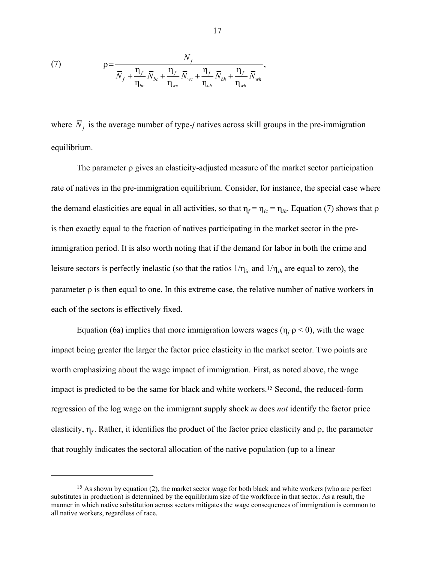(7) 
$$
\rho = \frac{\overline{N}_f}{\overline{N}_f + \frac{\eta_f}{\eta_{bc}} \overline{N}_{bc} + \frac{\eta_f}{\eta_{wc}} \overline{N}_{wc} + \frac{\eta_f}{\eta_{bh}} \overline{N}_{bh} + \frac{\eta_f}{\eta_{wh}} \overline{N}_{wh}},
$$

where  $\bar{N}_i$  is the average number of type-*j* natives across skill groups in the pre-immigration equilibrium.

The parameter  $\rho$  gives an elasticity-adjusted measure of the market sector participation rate of natives in the pre-immigration equilibrium. Consider, for instance, the special case where the demand elasticities are equal in all activities, so that  $\eta_f = \eta_{ic} = \eta_{ih}$ . Equation (7) shows that  $\rho$ is then exactly equal to the fraction of natives participating in the market sector in the preimmigration period. It is also worth noting that if the demand for labor in both the crime and leisure sectors is perfectly inelastic (so that the ratios  $1/\eta_{ic}$  and  $1/\eta_{ih}$  are equal to zero), the parameter  $\rho$  is then equal to one. In this extreme case, the relative number of native workers in each of the sectors is effectively fixed.

Equation (6a) implies that more immigration lowers wages ( $\eta_f$   $\rho$  < 0), with the wage impact being greater the larger the factor price elasticity in the market sector. Two points are worth emphasizing about the wage impact of immigration. First, as noted above, the wage impact is predicted to be the same for black and white workers.15 Second, the reduced-form regression of the log wage on the immigrant supply shock *m* does *not* identify the factor price elasticity,  $\eta_f$ . Rather, it identifies the product of the factor price elasticity and  $\rho$ , the parameter that roughly indicates the sectoral allocation of the native population (up to a linear

 $\overline{a}$ 

<sup>&</sup>lt;sup>15</sup> As shown by equation (2), the market sector wage for both black and white workers (who are perfect substitutes in production) is determined by the equilibrium size of the workforce in that sector. As a result, the manner in which native substitution across sectors mitigates the wage consequences of immigration is common to all native workers, regardless of race.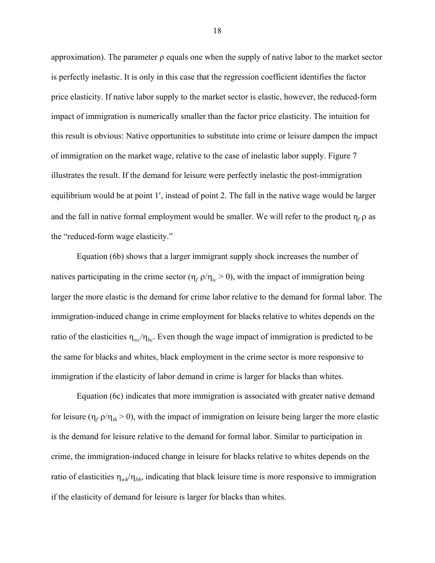approximation). The parameter  $\rho$  equals one when the supply of native labor to the market sector is perfectly inelastic. It is only in this case that the regression coefficient identifies the factor price elasticity. If native labor supply to the market sector is elastic, however, the reduced-form impact of immigration is numerically smaller than the factor price elasticity. The intuition for this result is obvious: Native opportunities to substitute into crime or leisure dampen the impact of immigration on the market wage, relative to the case of inelastic labor supply. Figure 7 illustrates the result. If the demand for leisure were perfectly inelastic the post-immigration equilibrium would be at point 1', instead of point 2. The fall in the native wage would be larger and the fall in native formal employment would be smaller. We will refer to the product  $\eta_f$  as the "reduced-form wage elasticity."

Equation (6b) shows that a larger immigrant supply shock increases the number of natives participating in the crime sector ( $\eta_f \rho / \eta_{ic} > 0$ ), with the impact of immigration being larger the more elastic is the demand for crime labor relative to the demand for formal labor. The immigration-induced change in crime employment for blacks relative to whites depends on the ratio of the elasticities  $\eta_{wc}/\eta_{bc}$ . Even though the wage impact of immigration is predicted to be the same for blacks and whites, black employment in the crime sector is more responsive to immigration if the elasticity of labor demand in crime is larger for blacks than whites.

Equation (6c) indicates that more immigration is associated with greater native demand for leisure ( $\eta_f \rho / \eta_{ih} > 0$ ), with the impact of immigration on leisure being larger the more elastic is the demand for leisure relative to the demand for formal labor. Similar to participation in crime, the immigration-induced change in leisure for blacks relative to whites depends on the ratio of elasticities  $\eta_{wk}/\eta_{bh}$ , indicating that black leisure time is more responsive to immigration if the elasticity of demand for leisure is larger for blacks than whites.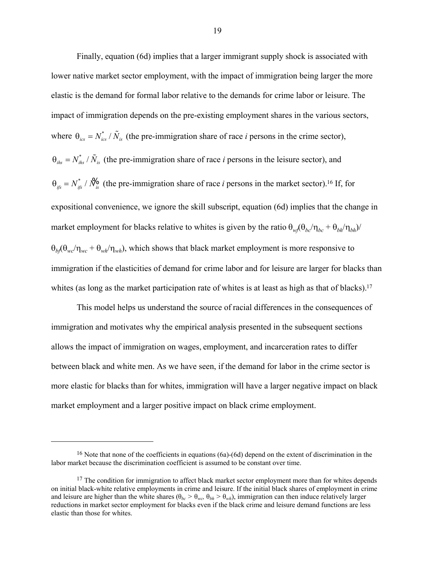Finally, equation (6d) implies that a larger immigrant supply shock is associated with lower native market sector employment, with the impact of immigration being larger the more elastic is the demand for formal labor relative to the demands for crime labor or leisure. The impact of immigration depends on the pre-existing employment shares in the various sectors, where  $\theta_{ics} = N_{ics}^* / \tilde{N}_{is}$  (the pre-immigration share of race *i* persons in the crime sector),  $\theta_{i\theta} = N_{i\theta}^* / \tilde{N}_{i\theta}$  (the pre-immigration share of race *i* persons in the leisure sector), and  $\theta_{ijs} = N_{ijs}^* / N_{is}^{\prime 6}$  (the pre-immigration share of race *i* persons in the market sector).<sup>16</sup> If, for expositional convenience, we ignore the skill subscript, equation (6d) implies that the change in market employment for blacks relative to whites is given by the ratio  $\theta_{w}/(\theta_{bc}/\eta_{bc} + \theta_{bh}/\eta_{bh})/(\theta_{bc}/\eta_{bc} + \theta_{bh}/\eta_{bh})$  $\theta_{b}(\theta_{wc}/\eta_{wc} + \theta_{wl}/\eta_{wh})$ , which shows that black market employment is more responsive to immigration if the elasticities of demand for crime labor and for leisure are larger for blacks than whites (as long as the market participation rate of whites is at least as high as that of blacks).<sup>17</sup>

This model helps us understand the source of racial differences in the consequences of immigration and motivates why the empirical analysis presented in the subsequent sections allows the impact of immigration on wages, employment, and incarceration rates to differ between black and white men. As we have seen, if the demand for labor in the crime sector is more elastic for blacks than for whites, immigration will have a larger negative impact on black market employment and a larger positive impact on black crime employment.

 $\overline{a}$ 

<sup>&</sup>lt;sup>16</sup> Note that none of the coefficients in equations (6a)-(6d) depend on the extent of discrimination in the labor market because the discrimination coefficient is assumed to be constant over time.

<sup>&</sup>lt;sup>17</sup> The condition for immigration to affect black market sector employment more than for whites depends on initial black-white relative employments in crime and leisure. If the initial black shares of employment in crime and leisure are higher than the white shares ( $\theta_{bc} > \theta_{wc}$ ,  $\theta_{bh} > \theta_{wh}$ ), immigration can then induce relatively larger reductions in market sector employment for blacks even if the black crime and leisure demand functions are less elastic than those for whites.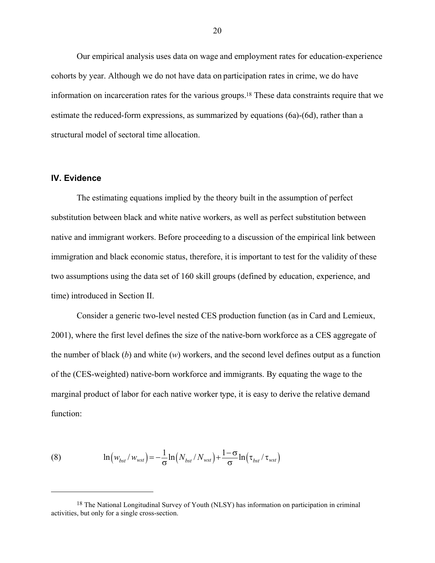Our empirical analysis uses data on wage and employment rates for education-experience cohorts by year. Although we do not have data on participation rates in crime, we do have information on incarceration rates for the various groups.18 These data constraints require that we estimate the reduced-form expressions, as summarized by equations (6a)-(6d), rather than a structural model of sectoral time allocation.

## **IV. Evidence**

 $\overline{a}$ 

The estimating equations implied by the theory built in the assumption of perfect substitution between black and white native workers, as well as perfect substitution between native and immigrant workers. Before proceeding to a discussion of the empirical link between immigration and black economic status, therefore, it is important to test for the validity of these two assumptions using the data set of 160 skill groups (defined by education, experience, and time) introduced in Section II.

Consider a generic two-level nested CES production function (as in Card and Lemieux, 2001), where the first level defines the size of the native-born workforce as a CES aggregate of the number of black (*b*) and white (*w*) workers, and the second level defines output as a function of the (CES-weighted) native-born workforce and immigrants. By equating the wage to the marginal product of labor for each native worker type, it is easy to derive the relative demand function:

(8) 
$$
\ln \left( w_{bst} / w_{wst} \right) = -\frac{1}{\sigma} \ln \left( N_{bst} / N_{wst} \right) + \frac{1 - \sigma}{\sigma} \ln \left( \tau_{bst} / \tau_{wst} \right)
$$

<sup>18</sup> The National Longitudinal Survey of Youth (NLSY) has information on participation in criminal activities, but only for a single cross-section.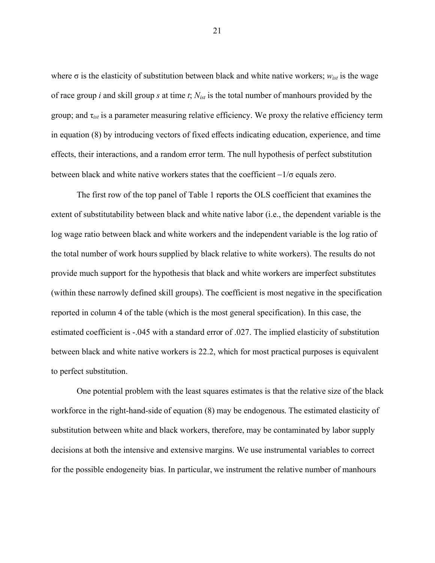where  $\sigma$  is the elasticity of substitution between black and white native workers;  $w_{ist}$  is the wage of race group *i* and skill group *s* at time *t*; *Nist* is the total number of manhours provided by the group; and  $\tau_{ist}$  is a parameter measuring relative efficiency. We proxy the relative efficiency term in equation (8) by introducing vectors of fixed effects indicating education, experience, and time effects, their interactions, and a random error term. The null hypothesis of perfect substitution between black and white native workers states that the coefficient  $-1/\sigma$  equals zero.

The first row of the top panel of Table 1 reports the OLS coefficient that examines the extent of substitutability between black and white native labor (i.e., the dependent variable is the log wage ratio between black and white workers and the independent variable is the log ratio of the total number of work hours supplied by black relative to white workers). The results do not provide much support for the hypothesis that black and white workers are imperfect substitutes (within these narrowly defined skill groups). The coefficient is most negative in the specification reported in column 4 of the table (which is the most general specification). In this case, the estimated coefficient is -.045 with a standard error of .027. The implied elasticity of substitution between black and white native workers is 22.2, which for most practical purposes is equivalent to perfect substitution.

One potential problem with the least squares estimates is that the relative size of the black workforce in the right-hand-side of equation (8) may be endogenous. The estimated elasticity of substitution between white and black workers, therefore, may be contaminated by labor supply decisions at both the intensive and extensive margins. We use instrumental variables to correct for the possible endogeneity bias. In particular, we instrument the relative number of manhours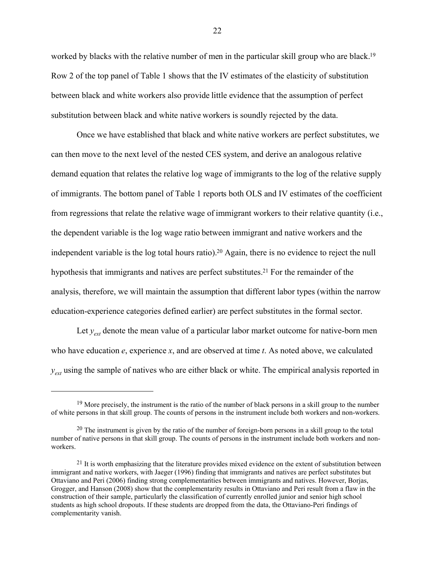worked by blacks with the relative number of men in the particular skill group who are black.<sup>19</sup> Row 2 of the top panel of Table 1 shows that the IV estimates of the elasticity of substitution between black and white workers also provide little evidence that the assumption of perfect substitution between black and white native workers is soundly rejected by the data.

Once we have established that black and white native workers are perfect substitutes, we can then move to the next level of the nested CES system, and derive an analogous relative demand equation that relates the relative log wage of immigrants to the log of the relative supply of immigrants. The bottom panel of Table 1 reports both OLS and IV estimates of the coefficient from regressions that relate the relative wage of immigrant workers to their relative quantity (i.e., the dependent variable is the log wage ratio between immigrant and native workers and the independent variable is the log total hours ratio).20 Again, there is no evidence to reject the null hypothesis that immigrants and natives are perfect substitutes.21 For the remainder of the analysis, therefore, we will maintain the assumption that different labor types (within the narrow education-experience categories defined earlier) are perfect substitutes in the formal sector.

Let  $y_{ext}$  denote the mean value of a particular labor market outcome for native-born men who have education *e*, experience *x*, and are observed at time *t*. As noted above, we calculated *y<sub>ext</sub>* using the sample of natives who are either black or white. The empirical analysis reported in

<sup>&</sup>lt;sup>19</sup> More precisely, the instrument is the ratio of the number of black persons in a skill group to the number of white persons in that skill group. The counts of persons in the instrument include both workers and non-workers.

 $20$  The instrument is given by the ratio of the number of foreign-born persons in a skill group to the total number of native persons in that skill group. The counts of persons in the instrument include both workers and nonworkers.

<sup>&</sup>lt;sup>21</sup> It is worth emphasizing that the literature provides mixed evidence on the extent of substitution between immigrant and native workers, with Jaeger (1996) finding that immigrants and natives are perfect substitutes but Ottaviano and Peri (2006) finding strong complementarities between immigrants and natives. However, Borjas, Grogger, and Hanson (2008) show that the complementarity results in Ottaviano and Peri result from a flaw in the construction of their sample, particularly the classification of currently enrolled junior and senior high school students as high school dropouts. If these students are dropped from the data, the Ottaviano-Peri findings of complementarity vanish.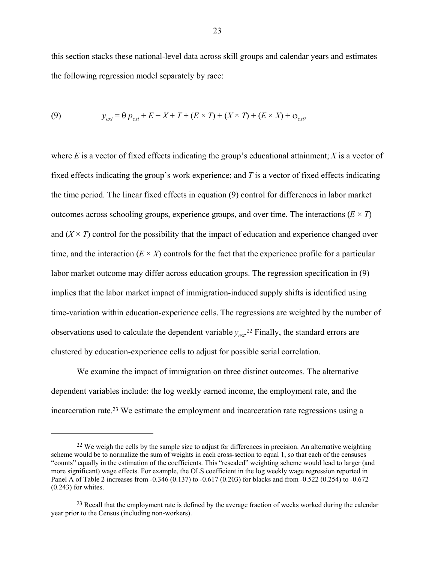this section stacks these national-level data across skill groups and calendar years and estimates the following regression model separately by race:

(9) 
$$
y_{ext} = \theta p_{ext} + E + X + T + (E \times T) + (X \times T) + (E \times X) + \varphi_{ext},
$$

where  $E$  is a vector of fixed effects indicating the group's educational attainment;  $X$  is a vector of fixed effects indicating the group's work experience; and *T* is a vector of fixed effects indicating the time period. The linear fixed effects in equation (9) control for differences in labor market outcomes across schooling groups, experience groups, and over time. The interactions  $(E \times T)$ and  $(X \times T)$  control for the possibility that the impact of education and experience changed over time, and the interaction  $(E \times X)$  controls for the fact that the experience profile for a particular labor market outcome may differ across education groups. The regression specification in (9) implies that the labor market impact of immigration-induced supply shifts is identified using time-variation within education-experience cells. The regressions are weighted by the number of observations used to calculate the dependent variable *yest*. 22 Finally, the standard errors are clustered by education-experience cells to adjust for possible serial correlation.

 We examine the impact of immigration on three distinct outcomes. The alternative dependent variables include: the log weekly earned income, the employment rate, and the incarceration rate.23 We estimate the employment and incarceration rate regressions using a

 $\overline{a}$ 

 $22$  We weigh the cells by the sample size to adjust for differences in precision. An alternative weighting scheme would be to normalize the sum of weights in each cross-section to equal 1, so that each of the censuses "counts" equally in the estimation of the coefficients. This "rescaled" weighting scheme would lead to larger (and more significant) wage effects. For example, the OLS coefficient in the log weekly wage regression reported in Panel A of Table 2 increases from -0.346 (0.137) to -0.617 (0.203) for blacks and from -0.522 (0.254) to -0.672 (0.243) for whites.

<sup>&</sup>lt;sup>23</sup> Recall that the employment rate is defined by the average fraction of weeks worked during the calendar year prior to the Census (including non-workers).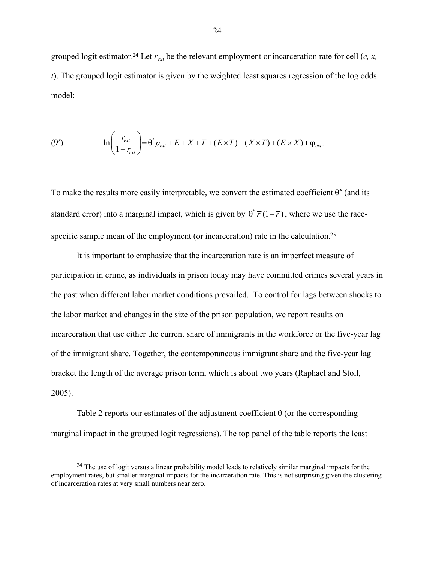grouped logit estimator.<sup>24</sup> Let  $r_{ext}$  be the relevant employment or incarceration rate for cell (*e, x, t*). The grouped logit estimator is given by the weighted least squares regression of the log odds model:

(9') 
$$
\ln \left( \frac{r_{\text{ext}}}{1 - r_{\text{ext}}} \right) = \theta^* p_{\text{ext}} + E + X + T + (E \times T) + (X \times T) + (E \times X) + \varphi_{\text{ext}}.
$$

To make the results more easily interpretable, we convert the estimated coefficient  $\theta^*$  (and its standard error) into a marginal impact, which is given by  $\theta^* \overline{r} (1 - \overline{r})$ , where we use the racespecific sample mean of the employment (or incarceration) rate in the calculation.<sup>25</sup>

 It is important to emphasize that the incarceration rate is an imperfect measure of participation in crime, as individuals in prison today may have committed crimes several years in the past when different labor market conditions prevailed. To control for lags between shocks to the labor market and changes in the size of the prison population, we report results on incarceration that use either the current share of immigrants in the workforce or the five-year lag of the immigrant share. Together, the contemporaneous immigrant share and the five-year lag bracket the length of the average prison term, which is about two years (Raphael and Stoll, 2005).

Table 2 reports our estimates of the adjustment coefficient  $\theta$  (or the corresponding marginal impact in the grouped logit regressions). The top panel of the table reports the least

<u>.</u>

<sup>&</sup>lt;sup>24</sup> The use of logit versus a linear probability model leads to relatively similar marginal impacts for the employment rates, but smaller marginal impacts for the incarceration rate. This is not surprising given the clustering of incarceration rates at very small numbers near zero.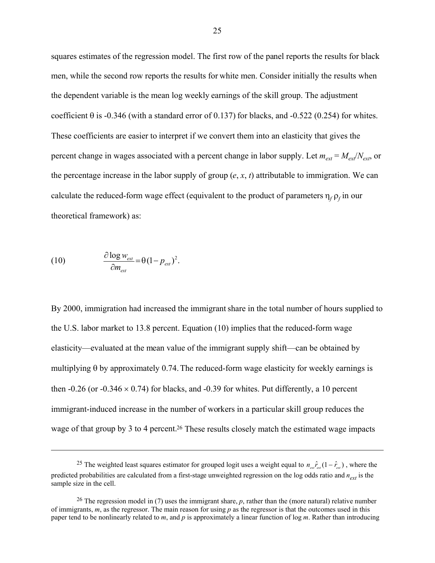squares estimates of the regression model. The first row of the panel reports the results for black men, while the second row reports the results for white men. Consider initially the results when the dependent variable is the mean log weekly earnings of the skill group. The adjustment coefficient  $\theta$  is -0.346 (with a standard error of 0.137) for blacks, and -0.522 (0.254) for whites. These coefficients are easier to interpret if we convert them into an elasticity that gives the percent change in wages associated with a percent change in labor supply. Let  $m_{ext} = M_{ext}/N_{ext}$ , or the percentage increase in the labor supply of group  $(e, x, t)$  attributable to immigration. We can calculate the reduced-form wage effect (equivalent to the product of parameters  $\eta_f \rho_f$  in our theoretical framework) as:

(10) 
$$
\frac{\partial \log w_{\text{ext}}}{\partial m_{\text{ext}}} = \theta (1 - p_{\text{ext}})^2.
$$

 $\overline{a}$ 

By 2000, immigration had increased the immigrant share in the total number of hours supplied to the U.S. labor market to 13.8 percent. Equation (10) implies that the reduced-form wage elasticity—evaluated at the mean value of the immigrant supply shift—can be obtained by multiplying  $\theta$  by approximately 0.74. The reduced-form wage elasticity for weekly earnings is then -0.26 (or -0.346  $\times$  0.74) for blacks, and -0.39 for whites. Put differently, a 10 percent immigrant-induced increase in the number of workers in a particular skill group reduces the wage of that group by 3 to 4 percent.<sup>26</sup> These results closely match the estimated wage impacts

<sup>&</sup>lt;sup>25</sup> The weighted least squares estimator for grouped logit uses a weight equal to  $n_{\text{av}}\hat{r}_{\text{av}}(1-\hat{r}_{\text{av}})$ , where the predicted probabilities are calculated from a first-stage unweighted regression on the log odds ratio and  $n_{ext}$  is the sample size in the cell.

<sup>&</sup>lt;sup>26</sup> The regression model in (7) uses the immigrant share, *p*, rather than the (more natural) relative number of immigrants, *m*, as the regressor. The main reason for using *p* as the regressor is that the outcomes used in this paper tend to be nonlinearly related to *m*, and *p* is approximately a linear function of log *m*. Rather than introducing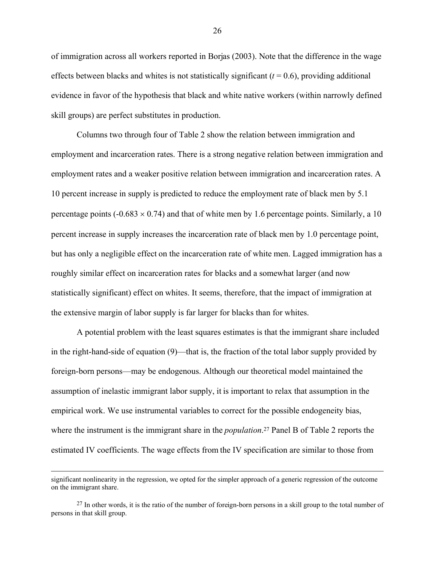of immigration across all workers reported in Borjas (2003). Note that the difference in the wage effects between blacks and whites is not statistically significant  $(t = 0.6)$ , providing additional evidence in favor of the hypothesis that black and white native workers (within narrowly defined skill groups) are perfect substitutes in production.

Columns two through four of Table 2 show the relation between immigration and employment and incarceration rates. There is a strong negative relation between immigration and employment rates and a weaker positive relation between immigration and incarceration rates. A 10 percent increase in supply is predicted to reduce the employment rate of black men by 5.1 percentage points ( $-0.683 \times 0.74$ ) and that of white men by 1.6 percentage points. Similarly, a 10 percent increase in supply increases the incarceration rate of black men by 1.0 percentage point, but has only a negligible effect on the incarceration rate of white men. Lagged immigration has a roughly similar effect on incarceration rates for blacks and a somewhat larger (and now statistically significant) effect on whites. It seems, therefore, that the impact of immigration at the extensive margin of labor supply is far larger for blacks than for whites.

A potential problem with the least squares estimates is that the immigrant share included in the right-hand-side of equation (9)—that is, the fraction of the total labor supply provided by foreign-born persons—may be endogenous. Although our theoretical model maintained the assumption of inelastic immigrant labor supply, it is important to relax that assumption in the empirical work. We use instrumental variables to correct for the possible endogeneity bias, where the instrument is the immigrant share in the *population*. 27 Panel B of Table 2 reports the estimated IV coefficients. The wage effects from the IV specification are similar to those from

significant nonlinearity in the regression, we opted for the simpler approach of a generic regression of the outcome on the immigrant share.

<sup>&</sup>lt;sup>27</sup> In other words, it is the ratio of the number of foreign-born persons in a skill group to the total number of persons in that skill group.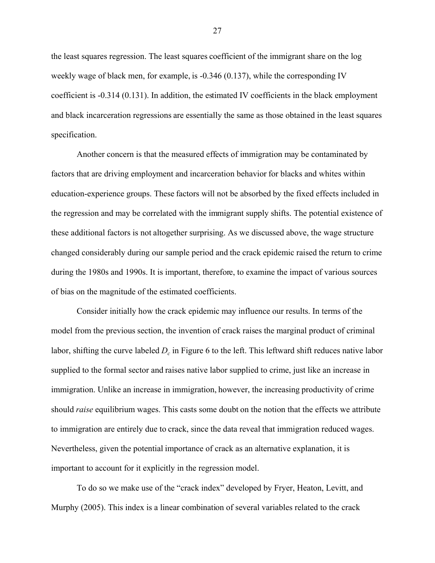the least squares regression. The least squares coefficient of the immigrant share on the log weekly wage of black men, for example, is -0.346 (0.137), while the corresponding IV coefficient is -0.314 (0.131). In addition, the estimated IV coefficients in the black employment and black incarceration regressions are essentially the same as those obtained in the least squares specification.

Another concern is that the measured effects of immigration may be contaminated by factors that are driving employment and incarceration behavior for blacks and whites within education-experience groups. These factors will not be absorbed by the fixed effects included in the regression and may be correlated with the immigrant supply shifts. The potential existence of these additional factors is not altogether surprising. As we discussed above, the wage structure changed considerably during our sample period and the crack epidemic raised the return to crime during the 1980s and 1990s. It is important, therefore, to examine the impact of various sources of bias on the magnitude of the estimated coefficients.

 Consider initially how the crack epidemic may influence our results. In terms of the model from the previous section, the invention of crack raises the marginal product of criminal labor, shifting the curve labeled  $D<sub>c</sub>$  in Figure 6 to the left. This leftward shift reduces native labor supplied to the formal sector and raises native labor supplied to crime, just like an increase in immigration. Unlike an increase in immigration, however, the increasing productivity of crime should *raise* equilibrium wages. This casts some doubt on the notion that the effects we attribute to immigration are entirely due to crack, since the data reveal that immigration reduced wages. Nevertheless, given the potential importance of crack as an alternative explanation, it is important to account for it explicitly in the regression model.

 To do so we make use of the "crack index" developed by Fryer, Heaton, Levitt, and Murphy (2005). This index is a linear combination of several variables related to the crack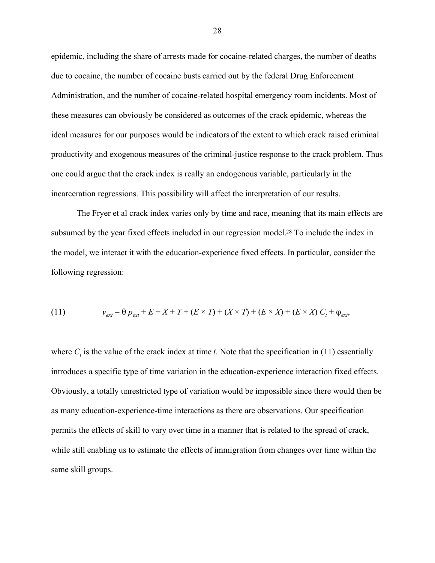epidemic, including the share of arrests made for cocaine-related charges, the number of deaths due to cocaine, the number of cocaine busts carried out by the federal Drug Enforcement Administration, and the number of cocaine-related hospital emergency room incidents. Most of these measures can obviously be considered as outcomes of the crack epidemic, whereas the ideal measures for our purposes would be indicators of the extent to which crack raised criminal productivity and exogenous measures of the criminal-justice response to the crack problem. Thus one could argue that the crack index is really an endogenous variable, particularly in the incarceration regressions. This possibility will affect the interpretation of our results.

 The Fryer et al crack index varies only by time and race, meaning that its main effects are subsumed by the year fixed effects included in our regression model.<sup>28</sup> To include the index in the model, we interact it with the education-experience fixed effects. In particular, consider the following regression:

(11) 
$$
y_{ext} = \theta p_{ext} + E + X + T + (E \times T) + (X \times T) + (E \times X) + (E \times X) C_t + \varphi_{ext},
$$

where  $C_t$  is the value of the crack index at time *t*. Note that the specification in (11) essentially introduces a specific type of time variation in the education-experience interaction fixed effects. Obviously, a totally unrestricted type of variation would be impossible since there would then be as many education-experience-time interactions as there are observations. Our specification permits the effects of skill to vary over time in a manner that is related to the spread of crack, while still enabling us to estimate the effects of immigration from changes over time within the same skill groups.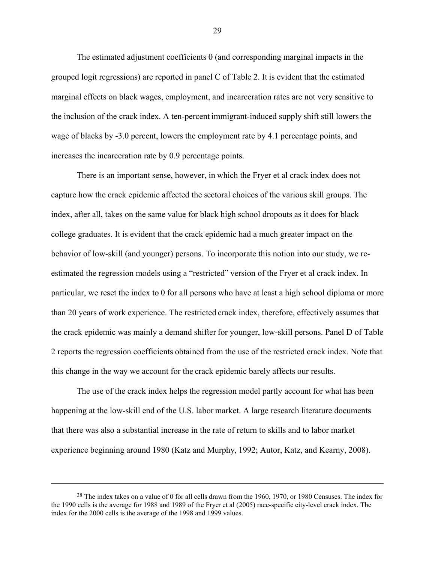The estimated adjustment coefficients  $\theta$  (and corresponding marginal impacts in the grouped logit regressions) are reported in panel C of Table 2. It is evident that the estimated marginal effects on black wages, employment, and incarceration rates are not very sensitive to the inclusion of the crack index. A ten-percent immigrant-induced supply shift still lowers the wage of blacks by -3.0 percent, lowers the employment rate by 4.1 percentage points, and increases the incarceration rate by 0.9 percentage points.

 There is an important sense, however, in which the Fryer et al crack index does not capture how the crack epidemic affected the sectoral choices of the various skill groups. The index, after all, takes on the same value for black high school dropouts as it does for black college graduates. It is evident that the crack epidemic had a much greater impact on the behavior of low-skill (and younger) persons. To incorporate this notion into our study, we reestimated the regression models using a "restricted" version of the Fryer et al crack index. In particular, we reset the index to 0 for all persons who have at least a high school diploma or more than 20 years of work experience. The restricted crack index, therefore, effectively assumes that the crack epidemic was mainly a demand shifter for younger, low-skill persons. Panel D of Table 2 reports the regression coefficients obtained from the use of the restricted crack index. Note that this change in the way we account for the crack epidemic barely affects our results.

 The use of the crack index helps the regression model partly account for what has been happening at the low-skill end of the U.S. labor market. A large research literature documents that there was also a substantial increase in the rate of return to skills and to labor market experience beginning around 1980 (Katz and Murphy, 1992; Autor, Katz, and Kearny, 2008).

1

<sup>&</sup>lt;sup>28</sup> The index takes on a value of 0 for all cells drawn from the 1960, 1970, or 1980 Censuses. The index for the 1990 cells is the average for 1988 and 1989 of the Fryer et al (2005) race-specific city-level crack index. The index for the 2000 cells is the average of the 1998 and 1999 values.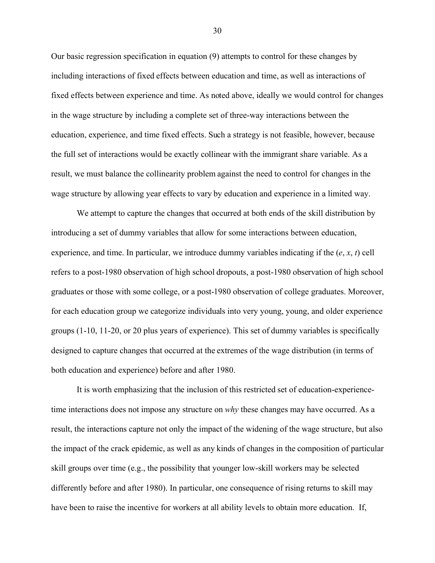Our basic regression specification in equation (9) attempts to control for these changes by including interactions of fixed effects between education and time, as well as interactions of fixed effects between experience and time. As noted above, ideally we would control for changes in the wage structure by including a complete set of three-way interactions between the education, experience, and time fixed effects. Such a strategy is not feasible, however, because the full set of interactions would be exactly collinear with the immigrant share variable. As a result, we must balance the collinearity problem against the need to control for changes in the wage structure by allowing year effects to vary by education and experience in a limited way.

 We attempt to capture the changes that occurred at both ends of the skill distribution by introducing a set of dummy variables that allow for some interactions between education, experience, and time. In particular, we introduce dummy variables indicating if the  $(e, x, t)$  cell refers to a post-1980 observation of high school dropouts, a post-1980 observation of high school graduates or those with some college, or a post-1980 observation of college graduates. Moreover, for each education group we categorize individuals into very young, young, and older experience groups (1-10, 11-20, or 20 plus years of experience). This set of dummy variables is specifically designed to capture changes that occurred at the extremes of the wage distribution (in terms of both education and experience) before and after 1980.

It is worth emphasizing that the inclusion of this restricted set of education-experiencetime interactions does not impose any structure on *why* these changes may have occurred. As a result, the interactions capture not only the impact of the widening of the wage structure, but also the impact of the crack epidemic, as well as any kinds of changes in the composition of particular skill groups over time (e.g., the possibility that younger low-skill workers may be selected differently before and after 1980). In particular, one consequence of rising returns to skill may have been to raise the incentive for workers at all ability levels to obtain more education. If,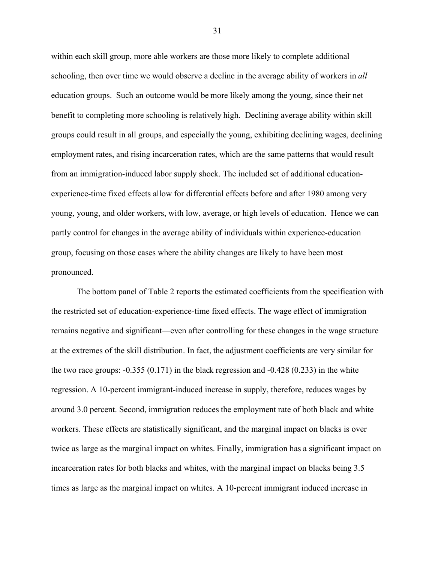within each skill group, more able workers are those more likely to complete additional schooling, then over time we would observe a decline in the average ability of workers in *all* education groups. Such an outcome would be more likely among the young, since their net benefit to completing more schooling is relatively high. Declining average ability within skill groups could result in all groups, and especially the young, exhibiting declining wages, declining employment rates, and rising incarceration rates, which are the same patterns that would result from an immigration-induced labor supply shock. The included set of additional educationexperience-time fixed effects allow for differential effects before and after 1980 among very young, young, and older workers, with low, average, or high levels of education. Hence we can partly control for changes in the average ability of individuals within experience-education group, focusing on those cases where the ability changes are likely to have been most pronounced.

 The bottom panel of Table 2 reports the estimated coefficients from the specification with the restricted set of education-experience-time fixed effects. The wage effect of immigration remains negative and significant—even after controlling for these changes in the wage structure at the extremes of the skill distribution. In fact, the adjustment coefficients are very similar for the two race groups:  $-0.355(0.171)$  in the black regression and  $-0.428(0.233)$  in the white regression. A 10-percent immigrant-induced increase in supply, therefore, reduces wages by around 3.0 percent. Second, immigration reduces the employment rate of both black and white workers. These effects are statistically significant, and the marginal impact on blacks is over twice as large as the marginal impact on whites. Finally, immigration has a significant impact on incarceration rates for both blacks and whites, with the marginal impact on blacks being 3.5 times as large as the marginal impact on whites. A 10-percent immigrant induced increase in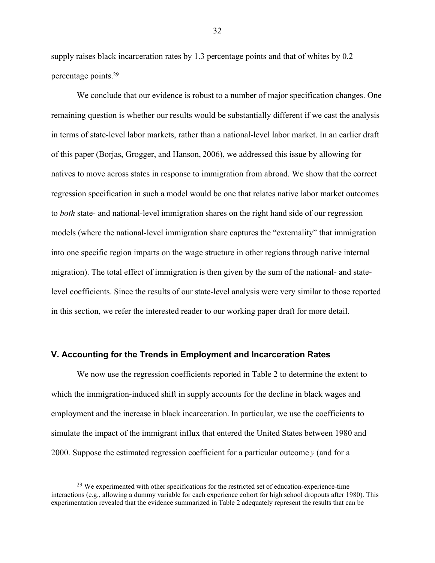supply raises black incarceration rates by 1.3 percentage points and that of whites by 0.2 percentage points.29

 We conclude that our evidence is robust to a number of major specification changes. One remaining question is whether our results would be substantially different if we cast the analysis in terms of state-level labor markets, rather than a national-level labor market. In an earlier draft of this paper (Borjas, Grogger, and Hanson, 2006), we addressed this issue by allowing for natives to move across states in response to immigration from abroad. We show that the correct regression specification in such a model would be one that relates native labor market outcomes to *both* state- and national-level immigration shares on the right hand side of our regression models (where the national-level immigration share captures the "externality" that immigration into one specific region imparts on the wage structure in other regions through native internal migration). The total effect of immigration is then given by the sum of the national- and statelevel coefficients. Since the results of our state-level analysis were very similar to those reported in this section, we refer the interested reader to our working paper draft for more detail.

#### **V. Accounting for the Trends in Employment and Incarceration Rates**

<u>.</u>

 We now use the regression coefficients reported in Table 2 to determine the extent to which the immigration-induced shift in supply accounts for the decline in black wages and employment and the increase in black incarceration. In particular, we use the coefficients to simulate the impact of the immigrant influx that entered the United States between 1980 and 2000. Suppose the estimated regression coefficient for a particular outcome *y* (and for a

 $^{29}$  We experimented with other specifications for the restricted set of education-experience-time interactions (e.g., allowing a dummy variable for each experience cohort for high school dropouts after 1980). This experimentation revealed that the evidence summarized in Table 2 adequately represent the results that can be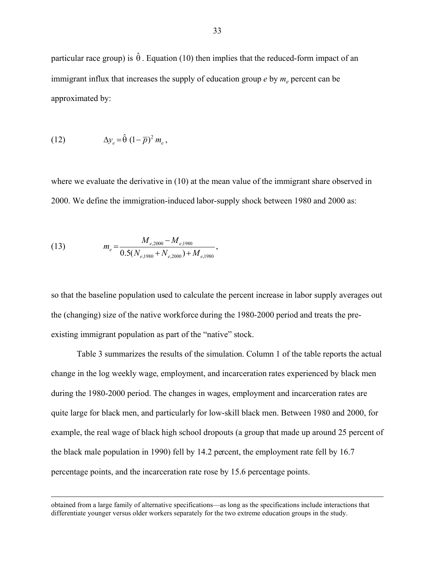particular race group) is  $\hat{\theta}$ . Equation (10) then implies that the reduced-form impact of an immigrant influx that increases the supply of education group  $e$  by  $m_e$  percent can be approximated by:

(12) 
$$
\Delta y_e = \hat{\theta} \left(1 - \overline{p}\right)^2 m_e,
$$

where we evaluate the derivative in (10) at the mean value of the immigrant share observed in 2000. We define the immigration-induced labor-supply shock between 1980 and 2000 as:

(13) 
$$
m_e = \frac{M_{e,2000} - M_{e,1980}}{0.5(N_{e,1980} + N_{e,2000}) + M_{e,1980}},
$$

so that the baseline population used to calculate the percent increase in labor supply averages out the (changing) size of the native workforce during the 1980-2000 period and treats the preexisting immigrant population as part of the "native" stock.

Table 3 summarizes the results of the simulation. Column 1 of the table reports the actual change in the log weekly wage, employment, and incarceration rates experienced by black men during the 1980-2000 period. The changes in wages, employment and incarceration rates are quite large for black men, and particularly for low-skill black men. Between 1980 and 2000, for example, the real wage of black high school dropouts (a group that made up around 25 percent of the black male population in 1990) fell by 14.2 percent, the employment rate fell by 16.7 percentage points, and the incarceration rate rose by 15.6 percentage points.

obtained from a large family of alternative specifications—as long as the specifications include interactions that differentiate younger versus older workers separately for the two extreme education groups in the study.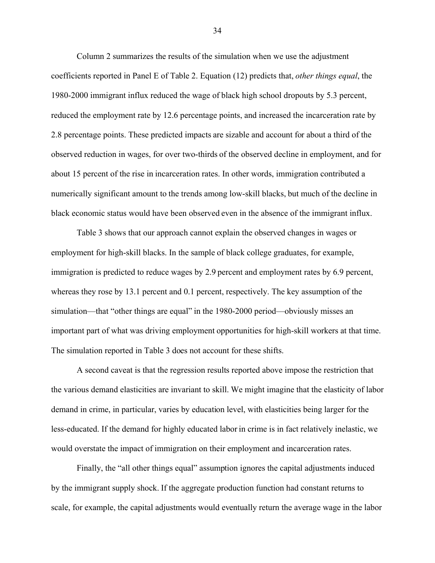Column 2 summarizes the results of the simulation when we use the adjustment coefficients reported in Panel E of Table 2. Equation (12) predicts that, *other things equal*, the 1980-2000 immigrant influx reduced the wage of black high school dropouts by 5.3 percent, reduced the employment rate by 12.6 percentage points, and increased the incarceration rate by 2.8 percentage points. These predicted impacts are sizable and account for about a third of the observed reduction in wages, for over two-thirds of the observed decline in employment, and for about 15 percent of the rise in incarceration rates. In other words, immigration contributed a numerically significant amount to the trends among low-skill blacks, but much of the decline in black economic status would have been observed even in the absence of the immigrant influx.

Table 3 shows that our approach cannot explain the observed changes in wages or employment for high-skill blacks. In the sample of black college graduates, for example, immigration is predicted to reduce wages by 2.9 percent and employment rates by 6.9 percent, whereas they rose by 13.1 percent and 0.1 percent, respectively. The key assumption of the simulation—that "other things are equal" in the 1980-2000 period—obviously misses an important part of what was driving employment opportunities for high-skill workers at that time. The simulation reported in Table 3 does not account for these shifts.

A second caveat is that the regression results reported above impose the restriction that the various demand elasticities are invariant to skill. We might imagine that the elasticity of labor demand in crime, in particular, varies by education level, with elasticities being larger for the less-educated. If the demand for highly educated labor in crime is in fact relatively inelastic, we would overstate the impact of immigration on their employment and incarceration rates.

Finally, the "all other things equal" assumption ignores the capital adjustments induced by the immigrant supply shock. If the aggregate production function had constant returns to scale, for example, the capital adjustments would eventually return the average wage in the labor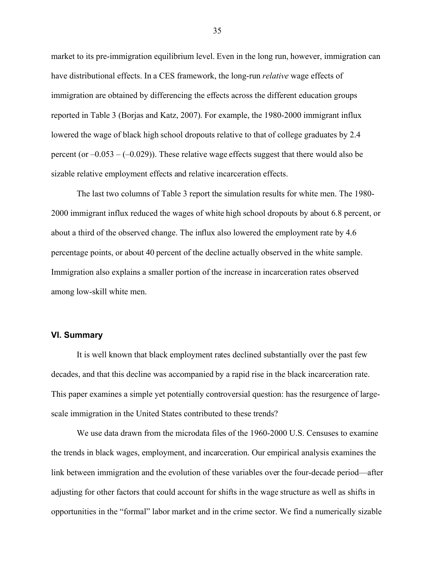market to its pre-immigration equilibrium level. Even in the long run, however, immigration can have distributional effects. In a CES framework, the long-run *relative* wage effects of immigration are obtained by differencing the effects across the different education groups reported in Table 3 (Borjas and Katz, 2007). For example, the 1980-2000 immigrant influx lowered the wage of black high school dropouts relative to that of college graduates by 2.4 percent (or  $-0.053 - (-0.029)$ ). These relative wage effects suggest that there would also be sizable relative employment effects and relative incarceration effects.

The last two columns of Table 3 report the simulation results for white men. The 1980- 2000 immigrant influx reduced the wages of white high school dropouts by about 6.8 percent, or about a third of the observed change. The influx also lowered the employment rate by 4.6 percentage points, or about 40 percent of the decline actually observed in the white sample. Immigration also explains a smaller portion of the increase in incarceration rates observed among low-skill white men.

#### **VI. Summary**

 It is well known that black employment rates declined substantially over the past few decades, and that this decline was accompanied by a rapid rise in the black incarceration rate. This paper examines a simple yet potentially controversial question: has the resurgence of largescale immigration in the United States contributed to these trends?

 We use data drawn from the microdata files of the 1960-2000 U.S. Censuses to examine the trends in black wages, employment, and incarceration. Our empirical analysis examines the link between immigration and the evolution of these variables over the four-decade period—after adjusting for other factors that could account for shifts in the wage structure as well as shifts in opportunities in the "formal" labor market and in the crime sector. We find a numerically sizable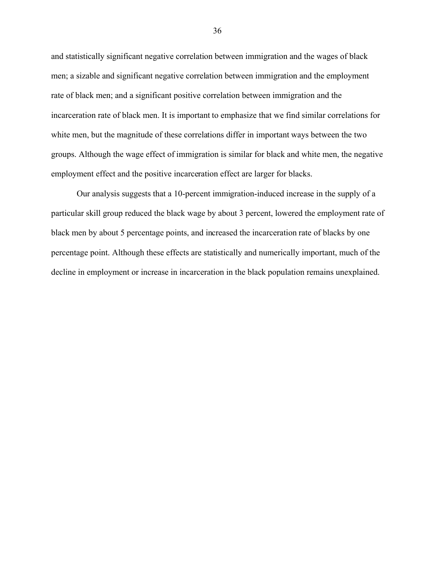and statistically significant negative correlation between immigration and the wages of black men; a sizable and significant negative correlation between immigration and the employment rate of black men; and a significant positive correlation between immigration and the incarceration rate of black men. It is important to emphasize that we find similar correlations for white men, but the magnitude of these correlations differ in important ways between the two groups. Although the wage effect of immigration is similar for black and white men, the negative employment effect and the positive incarceration effect are larger for blacks.

 Our analysis suggests that a 10-percent immigration-induced increase in the supply of a particular skill group reduced the black wage by about 3 percent, lowered the employment rate of black men by about 5 percentage points, and increased the incarceration rate of blacks by one percentage point. Although these effects are statistically and numerically important, much of the decline in employment or increase in incarceration in the black population remains unexplained.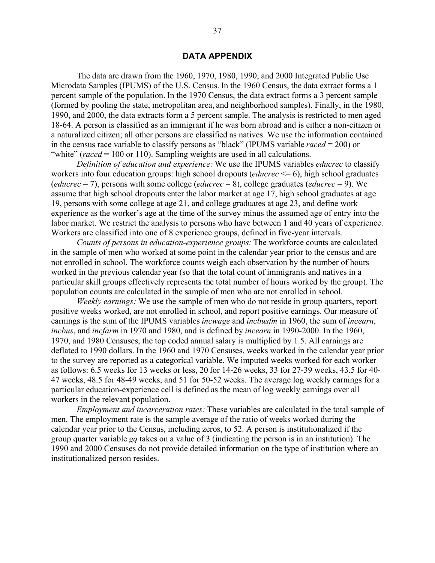### **DATA APPENDIX**

The data are drawn from the 1960, 1970, 1980, 1990, and 2000 Integrated Public Use Microdata Samples (IPUMS) of the U.S. Census. In the 1960 Census, the data extract forms a 1 percent sample of the population. In the 1970 Census, the data extract forms a 3 percent sample (formed by pooling the state, metropolitan area, and neighborhood samples). Finally, in the 1980, 1990, and 2000, the data extracts form a 5 percent sample. The analysis is restricted to men aged 18-64. A person is classified as an immigrant if he was born abroad and is either a non-citizen or a naturalized citizen; all other persons are classified as natives. We use the information contained in the census race variable to classify persons as "black" (IPUMS variable *raced* = 200) or "white" (*raced* = 100 or 110). Sampling weights are used in all calculations.

*Definition of education and experience:* We use the IPUMS variables *educrec* to classify workers into four education groups: high school dropouts (*educrec* <= 6), high school graduates (*educrec* = 7), persons with some college (*educrec* = 8), college graduates (*educrec* = 9). We assume that high school dropouts enter the labor market at age 17, high school graduates at age 19, persons with some college at age 21, and college graduates at age 23, and define work experience as the worker's age at the time of the survey minus the assumed age of entry into the labor market. We restrict the analysis to persons who have between 1 and 40 years of experience. Workers are classified into one of 8 experience groups, defined in five-year intervals.

*Counts of persons in education-experience groups:* The workforce counts are calculated in the sample of men who worked at some point in the calendar year prior to the census and are not enrolled in school. The workforce counts weigh each observation by the number of hours worked in the previous calendar year (so that the total count of immigrants and natives in a particular skill groups effectively represents the total number of hours worked by the group). The population counts are calculated in the sample of men who are not enrolled in school.

*Weekly earnings:* We use the sample of men who do not reside in group quarters, report positive weeks worked, are not enrolled in school, and report positive earnings. Our measure of earnings is the sum of the IPUMS variables *incwage* and *incbusfm* in 1960, the sum of *incearn*, *incbus*, and *incfarm* in 1970 and 1980, and is defined by *incearn* in 1990-2000. In the 1960, 1970, and 1980 Censuses, the top coded annual salary is multiplied by 1.5. All earnings are deflated to 1990 dollars. In the 1960 and 1970 Censuses, weeks worked in the calendar year prior to the survey are reported as a categorical variable. We imputed weeks worked for each worker as follows: 6.5 weeks for 13 weeks or less, 20 for 14-26 weeks, 33 for 27-39 weeks, 43.5 for 40- 47 weeks, 48.5 for 48-49 weeks, and 51 for 50-52 weeks. The average log weekly earnings for a particular education-experience cell is defined as the mean of log weekly earnings over all workers in the relevant population.

*Employment and incarceration rates:* These variables are calculated in the total sample of men. The employment rate is the sample average of the ratio of weeks worked during the calendar year prior to the Census, including zeros, to 52. A person is institutionalized if the group quarter variable *gq* takes on a value of 3 (indicating the person is in an institution). The 1990 and 2000 Censuses do not provide detailed information on the type of institution where an institutionalized person resides.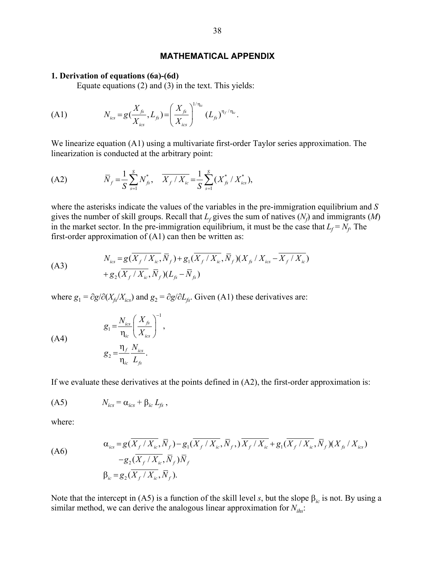## **MATHEMATICAL APPENDIX**

#### **1. Derivation of equations (6a)-(6d)**

Equate equations (2) and (3) in the text. This yields:

(A1) 
$$
N_{ics} = g(\frac{X_{fs}}{X_{ics}}, L_{fs}) = \left(\frac{X_{fs}}{X_{ics}}\right)^{1/\eta_{ic}} (L_{fs})^{\eta_f/\eta_{ic}}.
$$

We linearize equation (A1) using a multivariate first-order Taylor series approximation. The linearization is conducted at the arbitrary point:

(A2) 
$$
\overline{N}_f = \frac{1}{S} \sum_{s=1}^{S} N_{fs}^*, \quad \overline{X_f / X_{ic}} = \frac{1}{S} \sum_{s=1}^{S} (X_{fs}^* / X_{ics}^*),
$$

where the asterisks indicate the values of the variables in the pre-immigration equilibrium and *S* gives the number of skill groups. Recall that  $L_f$  gives the sum of natives  $(N_f)$  and immigrants  $(M)$ in the market sector. In the pre-immigration equilibrium, it must be the case that  $L_f = N_f$ . The first-order approximation of  $(A1)$  can then be written as:

(A3) 
$$
N_{ics} = g(\overline{X_f / X_{ic}}, \overline{N}_f) + g_1(\overline{X_f / X_{ic}}, \overline{N}_f)(X_{fs} / X_{ics} - \overline{X_f / X_{ic}}) + g_2(\overline{X_f / X_{ic}}, \overline{N}_f)(L_{fs} - \overline{N}_s)
$$

where  $g_1 = \partial g / \partial (X_f / X_{ics})$  and  $g_2 = \partial g / \partial L_f$ . Given (A1) these derivatives are:

1

,

$$
g_1 = \frac{N_{ics}}{\eta_{ic}} \left(\frac{X_{fs}}{X_{ics}}\right)^{-1}
$$

$$
g_2 = \frac{\eta_f}{\eta_{ic}} \frac{N_{ics}}{L_{fs}}.
$$

If we evaluate these derivatives at the points defined in (A2), the first-order approximation is:

$$
(A5) \t\t N_{ics} = \alpha_{ics} + \beta_{ic} L_{fs} ,
$$

where:

(A6)

\n
$$
\alpha_{\text{ics}} = g(\overline{X_f / X_{\text{ic}}}, \overline{N}_f) - g_1(\overline{X_f / X_{\text{ic}}}, \overline{N}_f, \overline{X_f / X_{\text{ic}}} + g_1(\overline{X_f / X_{\text{ic}}}, \overline{N}_f)(X_{\text{fs}} / X_{\text{ics}}) - g_2(\overline{X_f / X_{\text{ic}}}, \overline{N}_f)\overline{N}_f
$$
\n
$$
\beta_{\text{ic}} = g_2(\overline{X_f / X_{\text{ic}}}, \overline{N}_f).
$$

Note that the intercept in (A5) is a function of the skill level *s*, but the slope  $\beta_{ic}$  is not. By using a similar method, we can derive the analogous linear approximation for  $N_{i\hbar s}$ :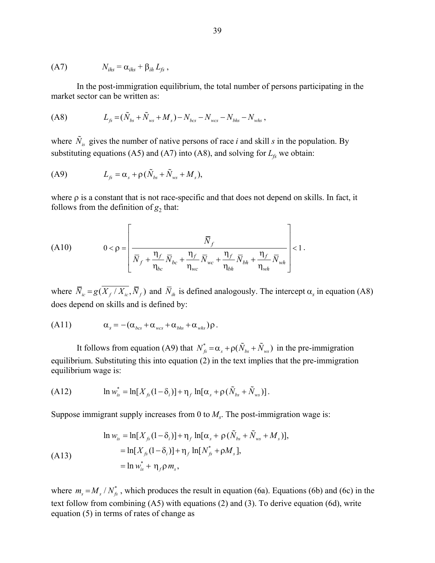$$
(A7) \t Nihs = \alphaihs + \betaih Lfs,
$$

In the post-immigration equilibrium, the total number of persons participating in the market sector can be written as:

$$
(A8) \tL_{fs} = (\tilde{N}_{bs} + \tilde{N}_{ws} + M_s) - N_{bcs} - N_{wcs} - N_{bhs} - N_{whs} ,
$$

where  $\tilde{N}_{i}$  gives the number of native persons of race *i* and skill *s* in the population. By substituting equations (A5) and (A7) into (A8), and solving for  $L_f$  we obtain:

$$
\text{(A9)} \qquad \qquad L_{fs} = \alpha_s + \rho \left( \tilde{N}_{bs} + \tilde{N}_{ws} + M_s \right),
$$

where  $\rho$  is a constant that is not race-specific and that does not depend on skills. In fact, it follows from the definition of  $g_2$  that:

(A10) 
$$
0 < \rho = \left[ \frac{\overline{N}_{f}}{\overline{N}_{f} + \frac{\eta_{f}}{\eta_{bc}} \overline{N}_{bc} + \frac{\eta_{f}}{\eta_{wc}} \overline{N}_{wc} + \frac{\eta_{f}}{\eta_{bh}} \overline{N}_{bh} + \frac{\eta_{f}}{\eta_{wh}} \overline{N}_{wh}} \right] < 1.
$$

where  $\overline{N}_{ic} = g(\overline{X_f}/\overline{X_{ic}}, \overline{N}_f)$  and  $\overline{N}_{ih}$  is defined analogously. The intercept  $\alpha_s$  in equation (A8) does depend on skills and is defined by:

$$
(A11) \t\t \alpha_s = -(\alpha_{bcs} + \alpha_{wcs} + \alpha_{bhs} + \alpha_{whs})\rho.
$$

It follows from equation (A9) that  $N_{fs}^* = \alpha_s + \rho(\tilde{N}_{bs} + \tilde{N}_{ws})$  in the pre-immigration equilibrium. Substituting this into equation (2) in the text implies that the pre-immigration equilibrium wage is:

(A12) 
$$
\ln w_{is}^* = \ln[X_{fs}(1-\delta_i)] + \eta_f \ln[\alpha_s + \rho(\tilde{N}_{bs} + \tilde{N}_{ws})].
$$

Suppose immigrant supply increases from 0 to  $M<sub>s</sub>$ . The post-immigration wage is:

$$
\ln w_{is} = \ln[X_{fs}(1-\delta_i)] + \eta_f \ln[\alpha_s + \rho(\tilde{N}_{bs} + \tilde{N}_{ws} + M_s)],
$$
  
=  $\ln[X_{fs}(1-\delta_i)] + \eta_f \ln[N_{fs}^* + \rho M_s],$   
=  $\ln w_{is}^* + \eta_f \rho m_s,$ 

where  $m_s = M_s / N_f^*$ , which produces the result in equation (6a). Equations (6b) and (6c) in the text follow from combining (A5) with equations (2) and (3). To derive equation (6d), write equation (5) in terms of rates of change as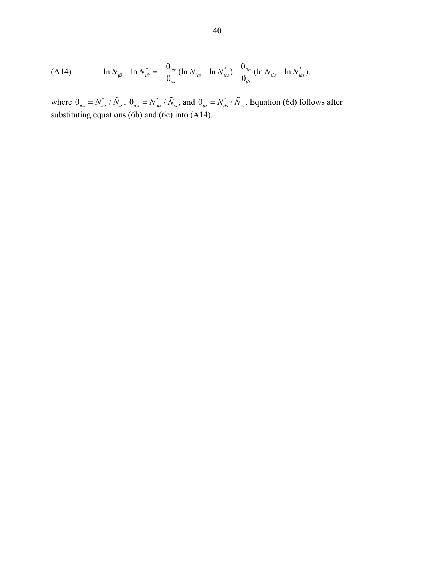(A14) 
$$
\ln N_{ijs} - \ln N_{ijs}^* = -\frac{\theta_{ics}}{\theta_{ijs}} (\ln N_{ics} - \ln N_{ics}^*) - \frac{\theta_{ihs}}{\theta_{ijs}} (\ln N_{ihs} - \ln N_{ihs}^*),
$$

where  $\theta_{ics} = N_{ics}^* / \tilde{N}_{is}$ ,  $\theta_{ihs} = N_{ihs}^* / \tilde{N}_{is}$ , and  $\theta_{ijs} = N_{ijs}^* / \tilde{N}_{is}$ . Equation (6d) follows after substituting equations (6b) and (6c) into (A14).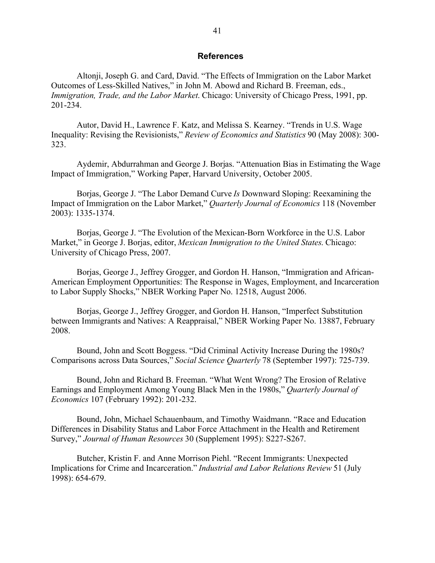### **References**

 Altonji, Joseph G. and Card, David. "The Effects of Immigration on the Labor Market Outcomes of Less-Skilled Natives," in John M. Abowd and Richard B. Freeman, eds., *Immigration, Trade, and the Labor Market*. Chicago: University of Chicago Press, 1991, pp. 201-234.

 Autor, David H., Lawrence F. Katz, and Melissa S. Kearney. "Trends in U.S. Wage Inequality: Revising the Revisionists," *Review of Economics and Statistics* 90 (May 2008): 300- 323.

 Aydemir, Abdurrahman and George J. Borjas. "Attenuation Bias in Estimating the Wage Impact of Immigration," Working Paper, Harvard University, October 2005.

 Borjas, George J. "The Labor Demand Curve *Is* Downward Sloping: Reexamining the Impact of Immigration on the Labor Market," *Quarterly Journal of Economics* 118 (November 2003): 1335-1374.

 Borjas, George J. "The Evolution of the Mexican-Born Workforce in the U.S. Labor Market," in George J. Borjas, editor, *Mexican Immigration to the United States*. Chicago: University of Chicago Press, 2007.

 Borjas, George J., Jeffrey Grogger, and Gordon H. Hanson, "Immigration and African-American Employment Opportunities: The Response in Wages, Employment, and Incarceration to Labor Supply Shocks," NBER Working Paper No. 12518, August 2006.

 Borjas, George J., Jeffrey Grogger, and Gordon H. Hanson, "Imperfect Substitution between Immigrants and Natives: A Reappraisal," NBER Working Paper No. 13887, February 2008.

 Bound, John and Scott Boggess. "Did Criminal Activity Increase During the 1980s? Comparisons across Data Sources," *Social Science Quarterly* 78 (September 1997): 725-739.

Bound, John and Richard B. Freeman. "What Went Wrong? The Erosion of Relative Earnings and Employment Among Young Black Men in the 1980s," *Quarterly Journal of Economics* 107 (February 1992): 201-232.

Bound, John, Michael Schauenbaum, and Timothy Waidmann. "Race and Education Differences in Disability Status and Labor Force Attachment in the Health and Retirement Survey," *Journal of Human Resources* 30 (Supplement 1995): S227-S267.

Butcher, Kristin F. and Anne Morrison Piehl. "Recent Immigrants: Unexpected Implications for Crime and Incarceration." *Industrial and Labor Relations Review* 51 (July 1998): 654-679.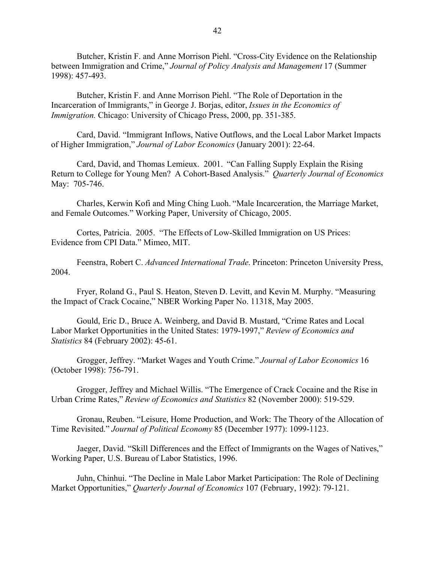Butcher, Kristin F. and Anne Morrison Piehl. "Cross-City Evidence on the Relationship between Immigration and Crime," *Journal of Policy Analysis and Management* 17 (Summer 1998): 457-493.

Butcher, Kristin F. and Anne Morrison Piehl. "The Role of Deportation in the Incarceration of Immigrants," in George J. Borjas, editor, *Issues in the Economics of Immigration.* Chicago: University of Chicago Press, 2000, pp. 351-385.

Card, David. "Immigrant Inflows, Native Outflows, and the Local Labor Market Impacts of Higher Immigration," *Journal of Labor Economics* (January 2001): 22-64.

 Card, David, and Thomas Lemieux. 2001. "Can Falling Supply Explain the Rising Return to College for Young Men? A Cohort-Based Analysis." *Quarterly Journal of Economics* May: 705-746.

Charles, Kerwin Kofi and Ming Ching Luoh. "Male Incarceration, the Marriage Market, and Female Outcomes." Working Paper, University of Chicago, 2005.

 Cortes, Patricia. 2005. "The Effects of Low-Skilled Immigration on US Prices: Evidence from CPI Data." Mimeo, MIT.

 Feenstra, Robert C. *Advanced International Trade*. Princeton: Princeton University Press, 2004.

 Fryer, Roland G., Paul S. Heaton, Steven D. Levitt, and Kevin M. Murphy. "Measuring the Impact of Crack Cocaine," NBER Working Paper No. 11318, May 2005.

Gould, Eric D., Bruce A. Weinberg, and David B. Mustard, "Crime Rates and Local Labor Market Opportunities in the United States: 1979-1997," *Review of Economics and Statistics* 84 (February 2002): 45-61.

 Grogger, Jeffrey. "Market Wages and Youth Crime." *Journal of Labor Economics* 16 (October 1998): 756-791.

 Grogger, Jeffrey and Michael Willis. "The Emergence of Crack Cocaine and the Rise in Urban Crime Rates," *Review of Economics and Statistics* 82 (November 2000): 519-529.

 Gronau, Reuben. "Leisure, Home Production, and Work: The Theory of the Allocation of Time Revisited." *Journal of Political Economy* 85 (December 1977): 1099-1123.

Jaeger, David. "Skill Differences and the Effect of Immigrants on the Wages of Natives," Working Paper, U.S. Bureau of Labor Statistics, 1996.

 Juhn, Chinhui. "The Decline in Male Labor Market Participation: The Role of Declining Market Opportunities," *Quarterly Journal of Economics* 107 (February, 1992): 79-121.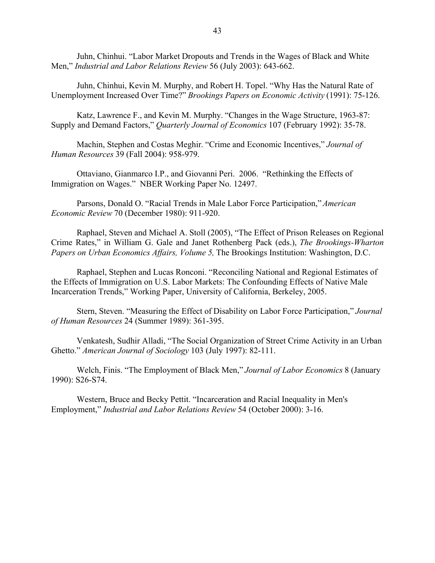Juhn, Chinhui. "Labor Market Dropouts and Trends in the Wages of Black and White Men," *Industrial and Labor Relations Review* 56 (July 2003): 643-662.

Juhn, Chinhui, Kevin M. Murphy, and Robert H. Topel. "Why Has the Natural Rate of Unemployment Increased Over Time?" *Brookings Papers on Economic Activity* (1991): 75-126.

 Katz, Lawrence F., and Kevin M. Murphy. "Changes in the Wage Structure, 1963-87: Supply and Demand Factors," *Quarterly Journal of Economics* 107 (February 1992): 35-78.

Machin, Stephen and Costas Meghir. "Crime and Economic Incentives," *Journal of Human Resources* 39 (Fall 2004): 958-979.

 Ottaviano, Gianmarco I.P., and Giovanni Peri. 2006. "Rethinking the Effects of Immigration on Wages." NBER Working Paper No. 12497.

Parsons, Donald O. "Racial Trends in Male Labor Force Participation," *American Economic Review* 70 (December 1980): 911-920.

 Raphael, Steven and Michael A. Stoll (2005), "The Effect of Prison Releases on Regional Crime Rates," in William G. Gale and Janet Rothenberg Pack (eds.), *The Brookings-Wharton Papers on Urban Economics Affairs, Volume 5,* The Brookings Institution: Washington, D.C.

Raphael, Stephen and Lucas Ronconi. "Reconciling National and Regional Estimates of the Effects of Immigration on U.S. Labor Markets: The Confounding Effects of Native Male Incarceration Trends," Working Paper, University of California, Berkeley, 2005.

Stern, Steven. "Measuring the Effect of Disability on Labor Force Participation," *Journal of Human Resources* 24 (Summer 1989): 361-395.

Venkatesh, Sudhir Alladi, "The Social Organization of Street Crime Activity in an Urban Ghetto." *American Journal of Sociology* 103 (July 1997): 82-111.

 Welch, Finis. "The Employment of Black Men," *Journal of Labor Economics* 8 (January 1990): S26-S74.

Western, Bruce and Becky Pettit. "Incarceration and Racial Inequality in Men's Employment," *Industrial and Labor Relations Review* 54 (October 2000): 3-16.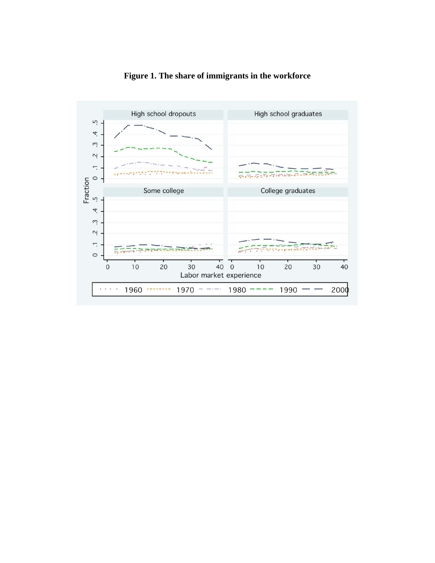

**Figure 1. The share of immigrants in the workforce**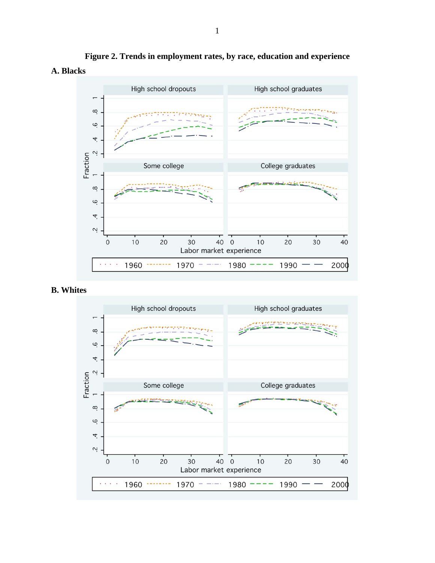

**Figure 2. Trends in employment rates, by race, education and experience A. Blacks** 

**B. Whites** 

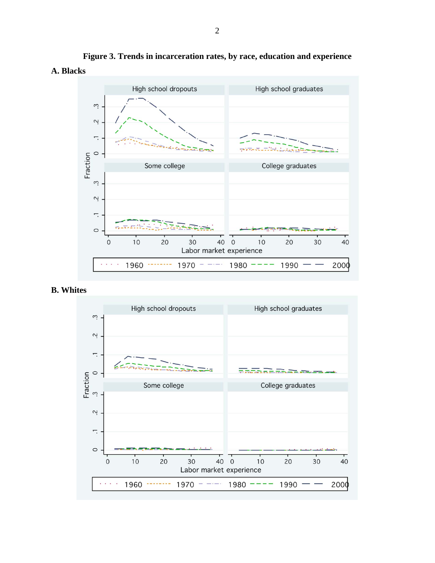

**Figure 3. Trends in incarceration rates, by race, education and experience A. Blacks** 

**B. Whites** 

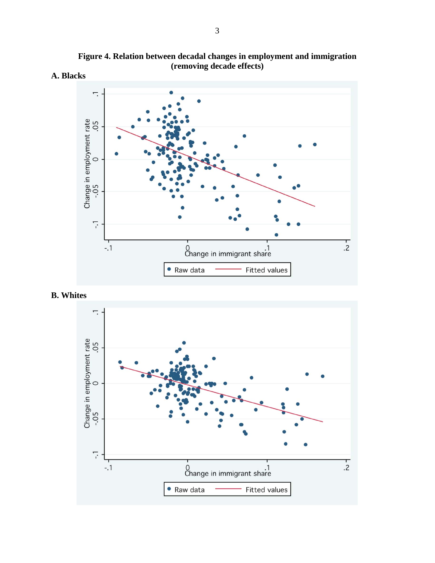

**Figure 4. Relation between decadal changes in employment and immigration (removing decade effects)** 



# **B. Whites**

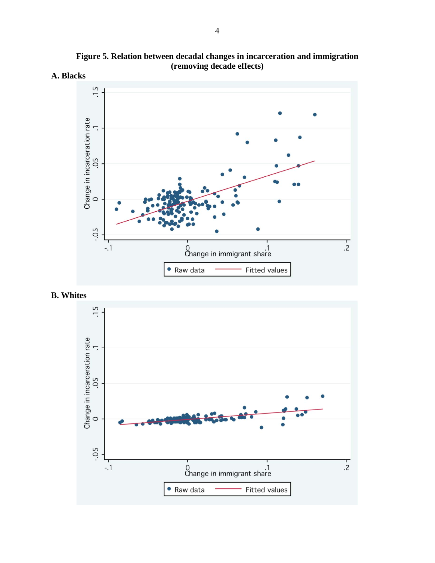

**Figure 5. Relation between decadal changes in incarceration and immigration (removing decade effects)** 



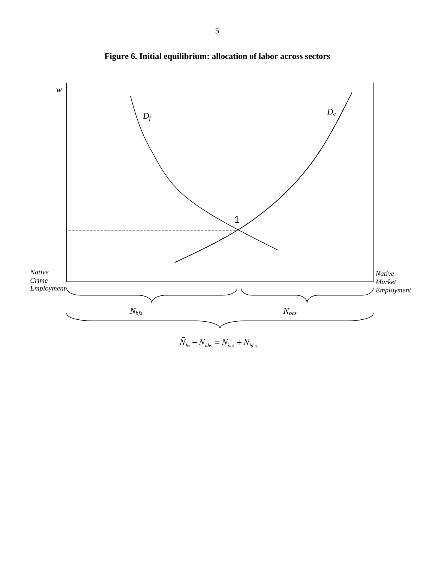

**Figure 6. Initial equilibrium: allocation of labor across sectors** 

 $\tilde{N}_{\rm bs} - N_{\rm bhs} = N_{\rm bcs} + N_{\rm bf\,s}$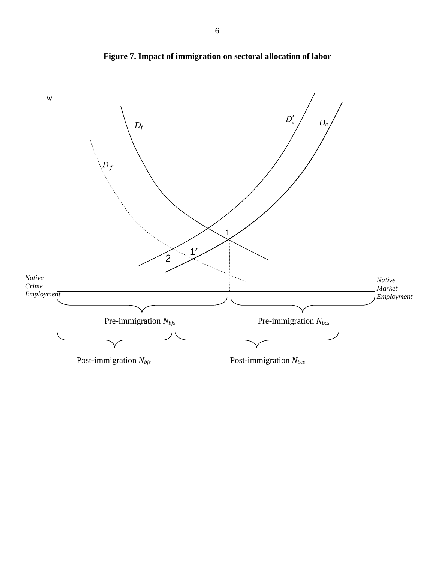

**Figure 7. Impact of immigration on sectoral allocation of labor**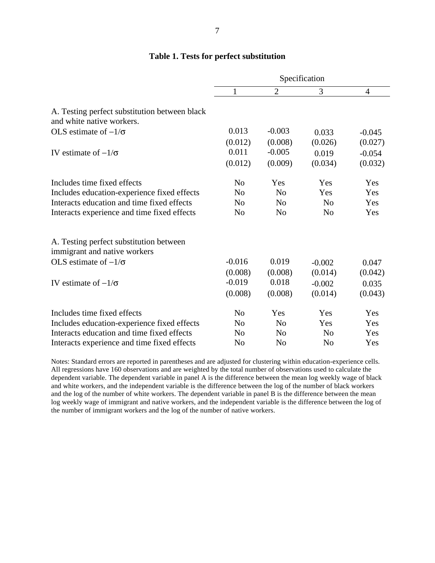|                                                                            | Specification  |                |                |                |  |
|----------------------------------------------------------------------------|----------------|----------------|----------------|----------------|--|
|                                                                            | 1              | $\overline{2}$ | 3              | $\overline{4}$ |  |
| A. Testing perfect substitution between black<br>and white native workers. |                |                |                |                |  |
| OLS estimate of $-1/\sigma$                                                | 0.013          | $-0.003$       | 0.033          | $-0.045$       |  |
|                                                                            | (0.012)        | (0.008)        | (0.026)        | (0.027)        |  |
| IV estimate of $-1/\sigma$                                                 | 0.011          | $-0.005$       | 0.019          | $-0.054$       |  |
|                                                                            | (0.012)        | (0.009)        | (0.034)        | (0.032)        |  |
| Includes time fixed effects                                                | N <sub>0</sub> | Yes            | Yes            | Yes            |  |
| Includes education-experience fixed effects                                | N <sub>0</sub> | N <sub>0</sub> | <b>Yes</b>     | Yes            |  |
| Interacts education and time fixed effects                                 | N <sub>0</sub> | N <sub>0</sub> | N <sub>0</sub> | Yes            |  |
| Interacts experience and time fixed effects                                | N <sub>0</sub> | N <sub>0</sub> | N <sub>0</sub> | Yes            |  |
| A. Testing perfect substitution between<br>immigrant and native workers    |                |                |                |                |  |
| OLS estimate of $-1/\sigma$                                                | $-0.016$       | 0.019          | $-0.002$       | 0.047          |  |

 $(0.008)$   $(0.008)$   $(0.014)$   $(0.042)$ 

 $(0.008)$   $(0.008)$   $(0.014)$   $(0.043)$ 

Includes time fixed effects No Yes Yes Yes Yes Includes education-experience fixed effects No No Yes Yes Interacts education and time fixed effects No No No No Yes Interacts experience and time fixed effects No No No No Yes

 $\sigma$  -0.019 0.018 -0.002 0.035

IV estimate of  $-1/\sigma$ 

## **Table 1. Tests for perfect substitution**

Notes: Standard errors are reported in parentheses and are adjusted for clustering within education-experience cells. All regressions have 160 observations and are weighted by the total number of observations used to calculate the dependent variable. The dependent variable in panel A is the difference between the mean log weekly wage of black and white workers, and the independent variable is the difference between the log of the number of black workers and the log of the number of white workers. The dependent variable in panel B is the difference between the mean log weekly wage of immigrant and native workers, and the independent variable is the difference between the log of the number of immigrant workers and the log of the number of native workers.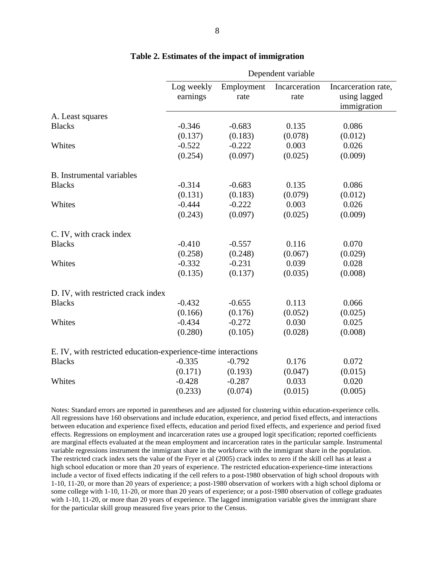|                                                               | Dependent variable |            |               |                     |  |
|---------------------------------------------------------------|--------------------|------------|---------------|---------------------|--|
|                                                               | Log weekly         | Employment | Incarceration | Incarceration rate, |  |
|                                                               | earnings           | rate       | rate          | using lagged        |  |
|                                                               |                    |            |               | immigration         |  |
| A. Least squares                                              |                    |            |               |                     |  |
| <b>Blacks</b>                                                 | $-0.346$           | $-0.683$   | 0.135         | 0.086               |  |
|                                                               | (0.137)            | (0.183)    | (0.078)       | (0.012)             |  |
| Whites                                                        | $-0.522$           | $-0.222$   | 0.003         | 0.026               |  |
|                                                               | (0.254)            | (0.097)    | (0.025)       | (0.009)             |  |
| <b>B.</b> Instrumental variables                              |                    |            |               |                     |  |
| <b>Blacks</b>                                                 | $-0.314$           | $-0.683$   | 0.135         | 0.086               |  |
|                                                               | (0.131)            | (0.183)    | (0.079)       | (0.012)             |  |
| Whites                                                        | $-0.444$           | $-0.222$   | 0.003         | 0.026               |  |
|                                                               | (0.243)            | (0.097)    | (0.025)       | (0.009)             |  |
| C. IV, with crack index                                       |                    |            |               |                     |  |
| <b>Blacks</b>                                                 | $-0.410$           | $-0.557$   | 0.116         | 0.070               |  |
|                                                               | (0.258)            | (0.248)    | (0.067)       | (0.029)             |  |
| Whites                                                        | $-0.332$           | $-0.231$   | 0.039         | 0.028               |  |
|                                                               | (0.135)            | (0.137)    | (0.035)       | (0.008)             |  |
| D. IV, with restricted crack index                            |                    |            |               |                     |  |
| <b>Blacks</b>                                                 | $-0.432$           | $-0.655$   | 0.113         | 0.066               |  |
|                                                               | (0.166)            | (0.176)    | (0.052)       | (0.025)             |  |
| Whites                                                        | $-0.434$           | $-0.272$   | 0.030         | 0.025               |  |
|                                                               | (0.280)            | (0.105)    | (0.028)       | (0.008)             |  |
| E. IV, with restricted education-experience-time interactions |                    |            |               |                     |  |
| <b>Blacks</b>                                                 | $-0.335$           | $-0.792$   | 0.176         | 0.072               |  |
|                                                               | (0.171)            | (0.193)    | (0.047)       | (0.015)             |  |
| Whites                                                        | $-0.428$           | $-0.287$   | 0.033         | 0.020               |  |
|                                                               | (0.233)            | (0.074)    | (0.015)       | (0.005)             |  |
|                                                               |                    |            |               |                     |  |

#### **Table 2. Estimates of the impact of immigration**

Notes: Standard errors are reported in parentheses and are adjusted for clustering within education-experience cells. All regressions have 160 observations and include education, experience, and period fixed effects, and interactions between education and experience fixed effects, education and period fixed effects, and experience and period fixed effects. Regressions on employment and incarceration rates use a grouped logit specification; reported coefficients are marginal effects evaluated at the mean employment and incarceration rates in the particular sample. Instrumental variable regressions instrument the immigrant share in the workforce with the immigrant share in the population. The restricted crack index sets the value of the Fryer et al (2005) crack index to zero if the skill cell has at least a high school education or more than 20 years of experience. The restricted education-experience-time interactions include a vector of fixed effects indicating if the cell refers to a post-1980 observation of high school dropouts with 1-10, 11-20, or more than 20 years of experience; a post-1980 observation of workers with a high school diploma or some college with 1-10, 11-20, or more than 20 years of experience; or a post-1980 observation of college graduates with 1-10, 11-20, or more than 20 years of experience. The lagged immigration variable gives the immigrant share for the particular skill group measured five years prior to the Census.